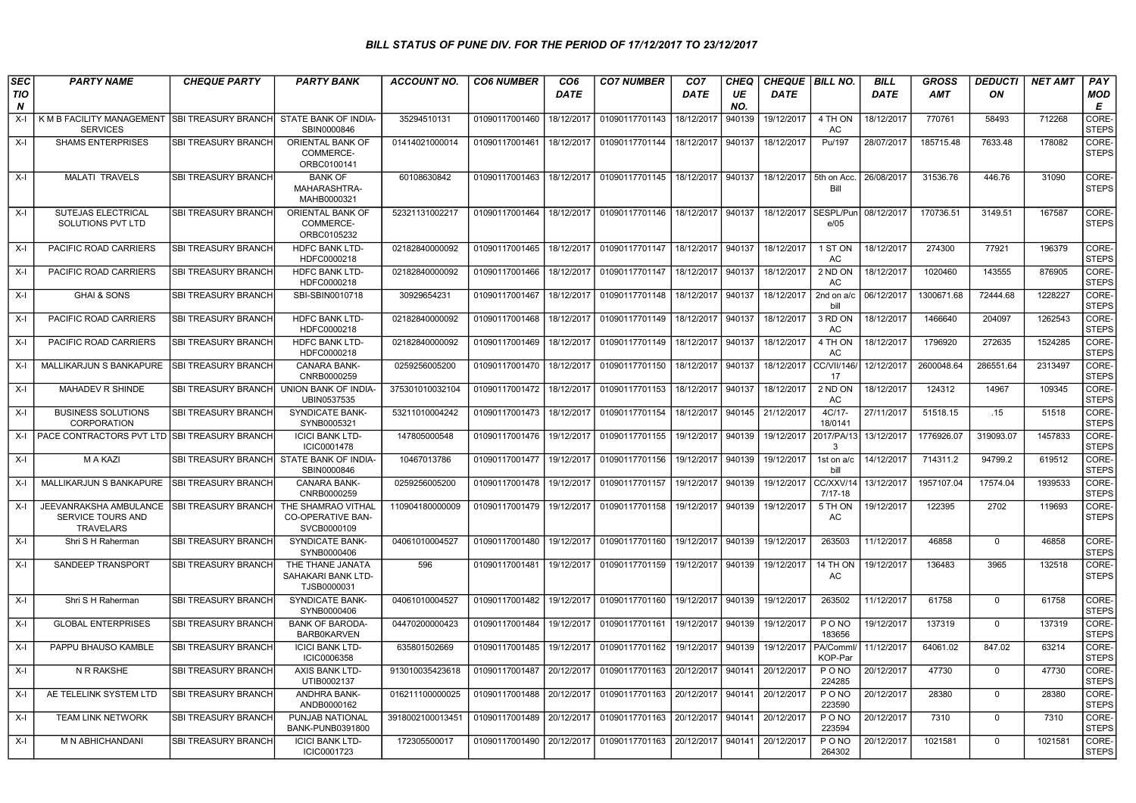## BILL STATUS OF PUNE DIV. FOR THE PERIOD OF 17/12/2017 TO 23/12/2017

| <b>SEC</b>      | <b>PARTY NAME</b>                                                      | <b>CHEQUE PARTY</b>        | <b>PARTY BANK</b>                                      | <b>ACCOUNT NO.</b> | <b>CO6 NUMBER</b> | CO <sub>6</sub> | <b>CO7 NUMBER</b> | CO <sub>7</sub> | <b>CHEQ</b> | <b>CHEQUE</b> | <b>BILL NO.</b>       | <b>BILL</b> | <b>GROSS</b> | <b>DEDUCTI</b> | <b>NET AMT</b> | PAY                   |
|-----------------|------------------------------------------------------------------------|----------------------------|--------------------------------------------------------|--------------------|-------------------|-----------------|-------------------|-----------------|-------------|---------------|-----------------------|-------------|--------------|----------------|----------------|-----------------------|
| <b>TIO</b><br>N |                                                                        |                            |                                                        |                    |                   | <b>DATE</b>     |                   | DATE            | UE<br>NO.   | <b>DATE</b>   |                       | <b>DATE</b> | <b>AMT</b>   | ON             |                | <b>MOD</b><br>Е       |
| $X-I$           | K M B FACILITY MANAGEMENT<br><b>SERVICES</b>                           | <b>SBI TREASURY BRANCH</b> | STATE BANK OF INDIA-<br>SBIN0000846                    | 35294510131        | 01090117001460    | 18/12/2017      | 01090117701143    | 18/12/2017      | 940139      | 19/12/2017    | 4 TH ON<br>AC         | 18/12/2017  | 770761       | 58493          | 712268         | CORE-<br><b>STEPS</b> |
| X-I             | <b>SHAMS ENTERPRISES</b>                                               | SBI TREASURY BRANCH        | ORIENTAL BANK OF<br>COMMERCE-<br>ORBC0100141           | 01414021000014     | 01090117001461    | 18/12/2017      | 01090117701144    | 18/12/2017      | 940137      | 18/12/2017    | Pu/197                | 28/07/2017  | 185715.48    | 7633.48        | 178082         | CORE-<br>STEPS        |
| X-I             | <b>MALATI TRAVELS</b>                                                  | SBI TREASURY BRANCH        | <b>BANK OF</b><br>MAHARASHTRA-<br>MAHB0000321          | 60108630842        | 01090117001463    | 18/12/2017      | 01090117701145    | 18/12/2017      | 940137      | 18/12/2017    | 5th on Acc.<br>Bill   | 26/08/2017  | 31536.76     | 446.76         | 31090          | CORE-<br><b>STEPS</b> |
| X-I             | SUTEJAS ELECTRICAL<br>SOLUTIONS PVT LTD                                | SBI TREASURY BRANCH        | ORIENTAL BANK OF<br>COMMERCE-<br>ORBC0105232           | 52321131002217     | 01090117001464    | 18/12/2017      | 01090117701146    | 18/12/2017      | 940137      | 18/12/2017    | SESPL/Pun<br>e/05     | 08/12/2017  | 170736.51    | 3149.51        | 167587         | CORE-<br><b>STEPS</b> |
| X-I             | PACIFIC ROAD CARRIERS                                                  | <b>SBI TREASURY BRANCH</b> | <b>HDFC BANK LTD-</b><br>HDFC0000218                   | 02182840000092     | 01090117001465    | 18/12/2017      | 01090117701147    | 18/12/2017      | 940137      | 18/12/2017    | 1 ST ON<br>AC         | 18/12/2017  | 274300       | 77921          | 196379         | CORE-<br><b>STEPS</b> |
| X-I             | PACIFIC ROAD CARRIERS                                                  | SBI TREASURY BRANCH        | HDFC BANK LTD-<br>HDFC0000218                          | 02182840000092     | 01090117001466    | 18/12/2017      | 01090117701147    | 18/12/2017      | 940137      | 18/12/2017    | 2 ND ON<br>AC.        | 18/12/2017  | 1020460      | 143555         | 876905         | CORE-<br><b>STEPS</b> |
| $X-I$           | <b>GHAI &amp; SONS</b>                                                 | SBI TREASURY BRANCH        | SBI-SBIN0010718                                        | 30929654231        | 01090117001467    | 18/12/2017      | 01090117701148    | 18/12/2017      | 940137      | 18/12/2017    | 2nd on a/c<br>bill    | 06/12/2017  | 1300671.68   | 72444.68       | 1228227        | CORE-<br><b>STEPS</b> |
| X-I             | PACIFIC ROAD CARRIERS                                                  | SBI TREASURY BRANCH        | <b>HDFC BANK LTD-</b><br>HDFC0000218                   | 02182840000092     | 01090117001468    | 18/12/2017      | 01090117701149    | 18/12/2017      | 940137      | 18/12/2017    | 3 RD ON<br>AC         | 18/12/2017  | 1466640      | 204097         | 1262543        | CORE-<br><b>STEPS</b> |
| X-I             | PACIFIC ROAD CARRIERS                                                  | <b>SBI TREASURY BRANCH</b> | <b>HDFC BANK LTD-</b><br>HDFC0000218                   | 02182840000092     | 01090117001469    | 18/12/2017      | 01090117701149    | 18/12/2017      | 940137      | 18/12/2017    | 4 TH ON<br>AC         | 18/12/2017  | 1796920      | 272635         | 1524285        | CORE-<br><b>STEPS</b> |
| X-I             | MALLIKARJUN S BANKAPURE                                                | SBI TREASURY BRANCH        | <b>CANARA BANK-</b><br>CNRB0000259                     | 0259256005200      | 01090117001470    | 18/12/2017      | 01090117701150    | 18/12/2017      | 940137      | 18/12/2017    | CC/VII/146<br>17      | 12/12/2017  | 2600048.64   | 286551.64      | 2313497        | CORE-<br><b>STEPS</b> |
| X-l             | MAHADEV R SHINDE                                                       | SBI TREASURY BRANCH        | UNION BANK OF INDIA-<br>UBIN0537535                    | 375301010032104    | 01090117001472    | 18/12/2017      | 01090117701153    | 18/12/2017      | 940137      | 18/12/2017    | 2 ND ON<br>AC         | 18/12/2017  | 124312       | 14967          | 109345         | CORE-<br><b>STEPS</b> |
| X-I             | <b>BUSINESS SOLUTIONS</b><br>CORPORATION                               | SBI TREASURY BRANCH        | SYNDICATE BANK-<br>SYNB0005321                         | 53211010004242     | 01090117001473    | 18/12/2017      | 01090117701154    | 18/12/2017      | 940145      | 21/12/2017    | 4C/17-<br>18/0141     | 27/11/2017  | 51518.15     | .15            | 51518          | CORE-<br><b>STEPS</b> |
| $X-I$           | PACE CONTRACTORS PVT LTD SBI TREASURY BRANCH                           |                            | <b>ICICI BANK LTD-</b><br>ICIC0001478                  | 147805000548       | 01090117001476    | 19/12/2017      | 01090117701155    | 19/12/2017      | 940139      | 19/12/2017    | 2017/PA/13<br>3       | 13/12/2017  | 1776926.07   | 319093.07      | 1457833        | CORE-<br><b>STEPS</b> |
| X-I             | M A KAZI                                                               | SBI TREASURY BRANCH        | STATE BANK OF INDIA-<br>SBIN0000846                    | 10467013786        | 01090117001477    | 19/12/2017      | 01090117701156    | 19/12/2017      | 940139      | 19/12/2017    | 1st on a/c<br>bill    | 14/12/2017  | 714311.2     | 94799.2        | 619512         | CORE-<br><b>STEPS</b> |
| X-I             | MALLIKARJUN S BANKAPURE                                                | <b>SBI TREASURY BRANCH</b> | CANARA BANK-<br>CNRB0000259                            | 0259256005200      | 01090117001478    | 19/12/2017      | 01090117701157    | 19/12/2017      | 940139      | 19/12/2017    | CC/XXV/14<br>7/17-18  | 13/12/2017  | 1957107.04   | 17574.04       | 1939533        | CORE-<br><b>STEPS</b> |
| X-I             | JEEVANRAKSHA AMBULANCE<br><b>SERVICE TOURS AND</b><br><b>TRAVELARS</b> | SBI TREASURY BRANCH        | THE SHAMRAO VITHAL<br>CO-OPERATIVE BAN-<br>SVCB0000109 | 110904180000009    | 01090117001479    | 19/12/2017      | 01090117701158    | 19/12/2017      | 940139      | 19/12/2017    | 5 TH ON<br>AC         | 19/12/2017  | 122395       | 2702           | 119693         | CORE-<br>STEPS        |
| $X-I$           | Shri S H Raherman                                                      | SBI TREASURY BRANCH        | <b>SYNDICATE BANK-</b><br>SYNB0000406                  | 04061010004527     | 01090117001480    | 19/12/2017      | 01090117701160    | 19/12/2017      | 940139      | 19/12/2017    | 263503                | 11/12/2017  | 46858        | $\mathbf 0$    | 46858          | CORE-<br><b>STEPS</b> |
| X-I             | SANDEEP TRANSPORT                                                      | <b>SBI TREASURY BRANCH</b> | THE THANE JANATA<br>SAHAKARI BANK LTD-<br>TJSB0000031  | 596                | 01090117001481    | 19/12/2017      | 01090117701159    | 19/12/2017      | 940139      | 19/12/2017    | 14 TH ON<br>AC        | 19/12/2017  | 136483       | 3965           | 132518         | CORE-<br>STEPS        |
| X-I             | Shri S H Raherman                                                      | SBI TREASURY BRANCH        | <b>SYNDICATE BANK-</b><br>SYNB0000406                  | 04061010004527     | 01090117001482    | 19/12/2017      | 01090117701160    | 19/12/2017      | 940139      | 19/12/2017    | 263502                | 11/12/2017  | 61758        | $\Omega$       | 61758          | CORE-<br><b>STEPS</b> |
| X-I             | <b>GLOBAL ENTERPRISES</b>                                              | SBI TREASURY BRANCH        | <b>BANK OF BARODA-</b><br><b>BARB0KARVEN</b>           | 04470200000423     | 01090117001484    | 19/12/2017      | 01090117701161    | 19/12/2017      | 940139      | 19/12/2017    | PONO<br>183656        | 19/12/2017  | 137319       | $\mathbf 0$    | 137319         | CORE-<br><b>STEPS</b> |
| $X-I$           | PAPPU BHAUSO KAMBLE                                                    | SBI TREASURY BRANCH        | <b>ICICI BANK LTD-</b><br>ICIC0006358                  | 635801502669       | 01090117001485    | 19/12/2017      | 01090117701162    | 19/12/2017      | 940139      | 19/12/2017    | PA/Comml<br>KOP-Par   | 11/12/2017  | 64061.02     | 847.02         | 63214          | CORE-<br><b>STEPS</b> |
| $X-I$           | N R RAKSHE                                                             | SBI TREASURY BRANCH        | <b>AXIS BANK LTD-</b><br>UTIB0002137                   | 913010035423618    | 01090117001487    | 20/12/2017      | 01090117701163    | 20/12/2017      | 940141      | 20/12/2017    | PONO<br>224285        | 20/12/2017  | 47730        | $\Omega$       | 47730          | CORE-<br><b>STEPS</b> |
| X-I             | AE TELELINK SYSTEM LTD                                                 | <b>SBI TREASURY BRANCH</b> | <b>ANDHRA BANK-</b><br>ANDB0000162                     | 016211100000025    | 01090117001488    | 20/12/2017      | 01090117701163    | 20/12/2017      | 940141      | 20/12/2017    | PONO<br>223590        | 20/12/2017  | 28380        | $\Omega$       | 28380          | CORE-<br><b>STEPS</b> |
| X-l             | <b>TEAM LINK NETWORK</b>                                               | SBI TREASURY BRANCH        | PUNJAB NATIONAL<br>BANK-PUNB0391800                    | 3918002100013451   | 01090117001489    | 20/12/2017      | 01090117701163    | 20/12/2017      | 940141      | 20/12/2017    | <b>PONO</b><br>223594 | 20/12/2017  | 7310         | $\mathbf 0$    | 7310           | CORE-<br><b>STEPS</b> |
| $X-I$           | M N ABHICHANDANI                                                       | <b>SBI TREASURY BRANCH</b> | <b>ICICI BANK LTD-</b><br>ICIC0001723                  | 172305500017       | 01090117001490    | 20/12/2017      | 01090117701163    | 20/12/2017      | 940141      | 20/12/2017    | PONO<br>264302        | 20/12/2017  | 1021581      | $\Omega$       | 1021581        | CORE-<br><b>STEPS</b> |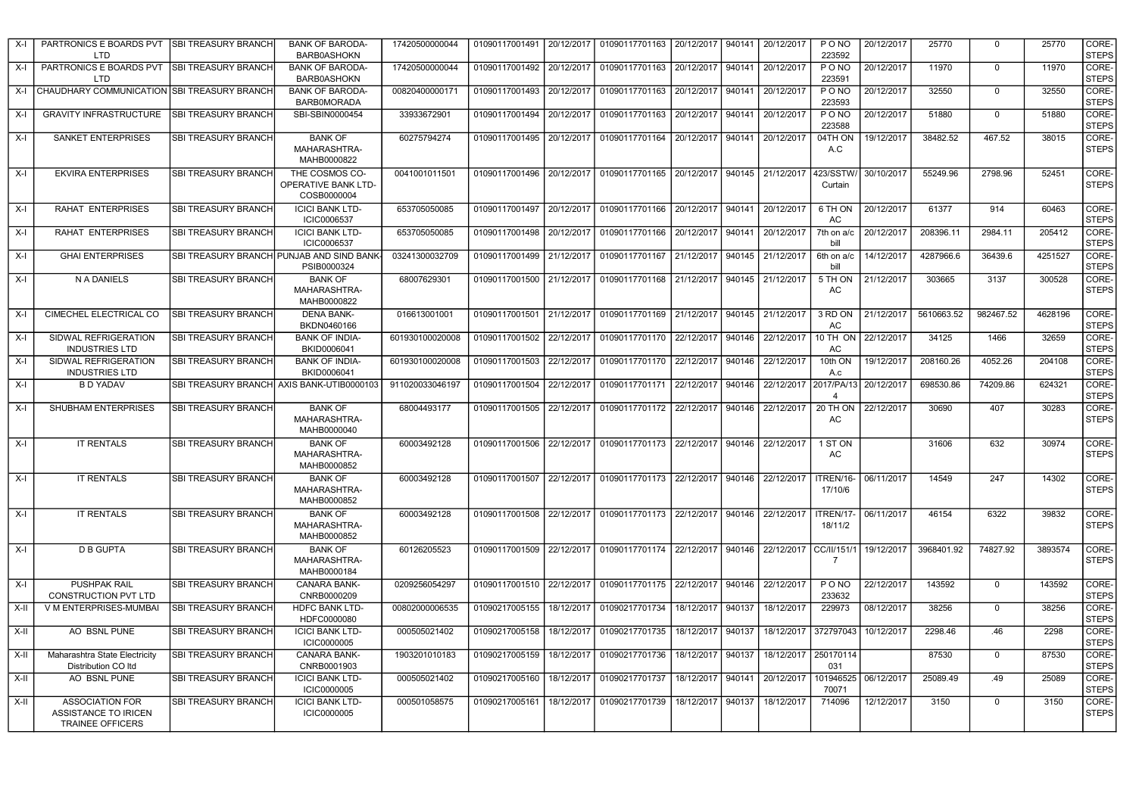| $X-I$  | PARTRONICS E BOARDS PVT SBI TREASURY BRANCH<br><b>LTD</b>                        |                            | <b>BANK OF BARODA-</b><br><b>BARB0ASHOKN</b>            | 17420500000044  | 01090117001491            | 20/12/2017 | 01090117701163                                            | 20/12/2017 | 940141 | 20/12/2017             | PONO<br>223592         | 20/12/2017 | 25770      | 0           | 25770   | CORE-<br><b>STEPS</b> |
|--------|----------------------------------------------------------------------------------|----------------------------|---------------------------------------------------------|-----------------|---------------------------|------------|-----------------------------------------------------------|------------|--------|------------------------|------------------------|------------|------------|-------------|---------|-----------------------|
| $X-I$  | PARTRONICS E BOARDS PVT<br><b>LTD</b>                                            | <b>SBI TREASURY BRANCH</b> | <b>BANK OF BARODA-</b><br><b>BARB0ASHOKN</b>            | 17420500000044  | 01090117001492            | 20/12/2017 | 01090117701163                                            | 20/12/2017 | 940141 | 20/12/2017             | PONO<br>223591         | 20/12/2017 | 11970      | $\mathbf 0$ | 11970   | CORE-<br><b>STEPS</b> |
| X-I    | CHAUDHARY COMMUNICATION SBI TREASURY BRANCH                                      |                            | <b>BANK OF BARODA-</b><br><b>BARBOMORADA</b>            | 00820400000171  | 01090117001493 20/12/2017 |            | 01090117701163                                            | 20/12/2017 | 940141 | 20/12/2017             | PONO<br>223593         | 20/12/2017 | 32550      | 0           | 32550   | CORE-<br><b>STEPS</b> |
| X-I    | <b>GRAVITY INFRASTRUCTURE</b>                                                    | <b>SBI TREASURY BRANCH</b> | SBI-SBIN0000454                                         | 33933672901     | 01090117001494 20/12/2017 |            | 01090117701163                                            | 20/12/2017 | 940141 | 20/12/2017             | PONO<br>223588         | 20/12/2017 | 51880      | 0           | 51880   | CORE-<br><b>STEPS</b> |
| X-I    | <b>SANKET ENTERPRISES</b>                                                        | <b>SBI TREASURY BRANCH</b> | <b>BANK OF</b><br>MAHARASHTRA-<br>MAHB0000822           | 60275794274     |                           |            | 01090117001495   20/12/2017   01090117701164              | 20/12/2017 | 940141 | 20/12/2017             | 04TH ON<br>A.C         | 19/12/2017 | 38482.52   | 467.52      | 38015   | CORE-<br><b>STEPS</b> |
| $X-I$  | <b>EKVIRA ENTERPRISES</b>                                                        | SBI TREASURY BRANCH        | THE COSMOS CO-<br>OPERATIVE BANK LTD-<br>COSB0000004    | 0041001011501   | 01090117001496            |            | 20/12/2017 01090117701165                                 | 20/12/2017 | 940145 | 21/12/2017             | 423/SSTW<br>Curtain    | 30/10/2017 | 55249.96   | 2798.96     | 52451   | CORE-<br><b>STEPS</b> |
| $X-I$  | RAHAT ENTERPRISES                                                                | <b>SBI TREASURY BRANCH</b> | <b>ICICI BANK LTD-</b><br>ICIC0006537                   | 653705050085    | 01090117001497            | 20/12/2017 | 01090117701166                                            | 20/12/2017 | 940141 | 20/12/2017             | 6 TH ON<br>AC.         | 20/12/2017 | 61377      | 914         | 60463   | CORE-<br><b>STEPS</b> |
| X-I    | RAHAT ENTERPRISES                                                                | <b>SBI TREASURY BRANCH</b> | <b>ICICI BANK LTD-</b><br><b>ICIC0006537</b>            | 653705050085    | 01090117001498            | 20/12/2017 | 01090117701166                                            | 20/12/2017 | 940141 | 20/12/2017             | 7th on a/c<br>hill     | 20/12/2017 | 208396.11  | 2984.11     | 205412  | CORE-<br><b>STEPS</b> |
| $X-I$  | <b>GHAI ENTERPRISES</b>                                                          |                            | SBI TREASURY BRANCH PUNJAB AND SIND BANK<br>PSIB0000324 | 03241300032709  | 01090117001499            | 21/12/2017 | 01090117701167                                            | 21/12/2017 | 940145 | 21/12/2017             | 6th on a/c<br>bill     | 14/12/2017 | 4287966.6  | 36439.6     | 4251527 | CORE-<br><b>STEPS</b> |
| X-I    | N A DANIELS                                                                      | <b>SBI TREASURY BRANCH</b> | <b>BANK OF</b><br>MAHARASHTRA-<br>MAHB0000822           | 68007629301     | 01090117001500            | 21/12/2017 | 01090117701168                                            | 21/12/2017 | 940145 | 21/12/2017             | 5 TH ON<br>AC          | 21/12/2017 | 303665     | 3137        | 300528  | CORE-<br><b>STEPS</b> |
| X-l    | CIMECHEL ELECTRICAL CO                                                           | <b>SBI TREASURY BRANCH</b> | <b>DENA BANK-</b><br>BKDN0460166                        | 016613001001    |                           |            | 01090117001501 21/12/2017 01090117701169                  | 21/12/2017 | 940145 | 21/12/2017             | 3 RD ON<br>AC          | 21/12/2017 | 5610663.52 | 982467.52   | 4628196 | CORE-<br><b>STEPS</b> |
| $X-I$  | SIDWAL REFRIGERATION<br><b>INDUSTRIES LTD</b>                                    | <b>SBI TREASURY BRANCH</b> | <b>BANK OF INDIA-</b><br>BKID0006041                    | 601930100020008 | 01090117001502 22/12/2017 |            | 01090117701170                                            | 22/12/2017 | 940146 | 22/12/2017             | 10 TH ON<br>AC         | 22/12/2017 | 34125      | 1466        | 32659   | CORE-<br><b>STEPS</b> |
| $X-I$  | SIDWAL REFRIGERATION<br><b>INDUSTRIES LTD</b>                                    | <b>SBI TREASURY BRANCH</b> | <b>BANK OF INDIA-</b><br>BKID0006041                    | 601930100020008 | 01090117001503            | 22/12/2017 | 01090117701170 22/12/2017                                 |            | 940146 | 22/12/2017             | 10th ON<br>A.c         | 19/12/2017 | 208160.26  | 4052.26     | 204108  | CORE-<br><b>STEPS</b> |
| $X-I$  | <b>B D YADAV</b>                                                                 |                            | SBI TREASURY BRANCH AXIS BANK-UTIB0000103               | 911020033046197 | 01090117001504            | 22/12/2017 | 01090117701171                                            | 22/12/2017 | 940146 | 22/12/2017             | 2017/PA/13<br>$\Delta$ | 20/12/2017 | 698530.86  | 74209.86    | 624321  | CORE-<br><b>STEPS</b> |
| $X-I$  | SHUBHAM ENTERPRISES                                                              | <b>SBI TREASURY BRANCH</b> | <b>BANK OF</b><br>MAHARASHTRA-<br>MAHB0000040           | 68004493177     | 01090117001505            |            | 22/12/2017 01090117701172                                 | 22/12/2017 | 940146 | 22/12/2017             | 20 TH ON<br>AC         | 22/12/2017 | 30690      | 407         | 30283   | CORE-<br><b>STEPS</b> |
| X-I    | <b>IT RENTALS</b>                                                                | SBI TREASURY BRANCH        | <b>BANK OF</b><br>MAHARASHTRA-<br>MAHB0000852           | 60003492128     |                           |            | 01090117001506 22/12/2017 01090117701173                  | 22/12/2017 | 940146 | 22/12/2017             | 1 ST ON<br>AC          |            | 31606      | 632         | 30974   | CORE-<br><b>STEPS</b> |
| $X-I$  | <b>IT RENTALS</b>                                                                | SBI TREASURY BRANCH        | <b>BANK OF</b><br>MAHARASHTRA-<br>MAHB0000852           | 60003492128     | 01090117001507            |            | 22/12/2017 01090117701173 22/12/2017                      |            | 940146 | 22/12/2017             | ITREN/16-<br>17/10/6   | 06/11/2017 | 14549      | 247         | 14302   | CORE-<br><b>STEPS</b> |
| $X-I$  | <b>IT RENTALS</b>                                                                | <b>SBI TREASURY BRANCH</b> | <b>BANK OF</b><br>MAHARASHTRA-<br>MAHB0000852           | 60003492128     |                           |            | 01090117001508   22/12/2017   01090117701173   22/12/2017 |            |        | 940146 22/12/2017      | ITREN/17-<br>18/11/2   | 06/11/2017 | 46154      | 6322        | 39832   | CORE-<br><b>STEPS</b> |
| X-I    | <b>D B GUPTA</b>                                                                 | <b>SBI TREASURY BRANCH</b> | <b>BANK OF</b><br>MAHARASHTRA-<br>MAHB0000184           | 60126205523     | 01090117001509            |            | 22/12/2017   01090117701174   22/12/2017                  |            | 940146 | 22/12/2017 CC/II/151/1 | -7                     | 19/12/2017 | 3968401.92 | 74827.92    | 3893574 | CORE-<br><b>STEPS</b> |
| $X-I$  | PUSHPAK RAIL<br>CONSTRUCTION PVT LTD                                             | <b>SBI TREASURY BRANCH</b> | CANARA BANK-<br>CNRB0000209                             | 0209256054297   | 01090117001510 22/12/2017 |            | 01090117701175                                            | 22/12/2017 | 940146 | 22/12/2017             | PONO<br>233632         | 22/12/2017 | 143592     | $\mathbf 0$ | 143592  | CORE-<br><b>STEPS</b> |
| $X-II$ | V M ENTERPRISES-MUMBAI                                                           | <b>SBI TREASURY BRANCH</b> | <b>HDFC BANK LTD-</b><br>HDFC0000080                    | 00802000006535  | 01090217005155            | 18/12/2017 | 01090217701734                                            | 18/12/2017 | 940137 | 18/12/2017             | 229973                 | 08/12/2017 | 38256      | $\Omega$    | 38256   | CORE-<br><b>STEPS</b> |
| X-II   | AO BSNL PUNE                                                                     | <b>SBI TREASURY BRANCH</b> | <b>ICICI BANK LTD-</b><br>ICIC0000005                   | 000505021402    | 01090217005158            | 18/12/2017 | 01090217701735                                            | 18/12/2017 | 940137 | 18/12/2017             | 372797043              | 10/12/2017 | 2298.46    | .46         | 2298    | CORE-<br><b>STEPS</b> |
| $X-II$ | Maharashtra State Electricity<br>Distribution CO Itd                             | <b>SBI TREASURY BRANCH</b> | CANARA BANK-<br>CNRB0001903                             | 1903201010183   | 01090217005159            | 18/12/2017 | 01090217701736                                            | 18/12/2017 | 940137 | 18/12/2017             | 250170114<br>031       |            | 87530      | $\mathbf 0$ | 87530   | CORE-<br><b>STEPS</b> |
| X-II   | AO BSNL PUNE                                                                     | <b>SBI TREASURY BRANCH</b> | <b>ICICI BANK LTD-</b><br>ICIC0000005                   | 000505021402    | 01090217005160            | 18/12/2017 | 01090217701737                                            | 18/12/2017 | 940141 | 20/12/2017             | 101946525<br>70071     | 06/12/2017 | 25089.49   | .49         | 25089   | CORE-<br><b>STEPS</b> |
| X-II   | <b>ASSOCIATION FOR</b><br><b>ASSISTANCE TO IRICEN</b><br><b>TRAINEE OFFICERS</b> | <b>SBI TREASURY BRANCH</b> | <b>ICICI BANK LTD-</b><br>ICIC0000005                   | 000501058575    | 01090217005161            | 18/12/2017 | 01090217701739                                            | 18/12/2017 | 940137 | 18/12/2017             | 714096                 | 12/12/2017 | 3150       | 0           | 3150    | CORE-<br><b>STEPS</b> |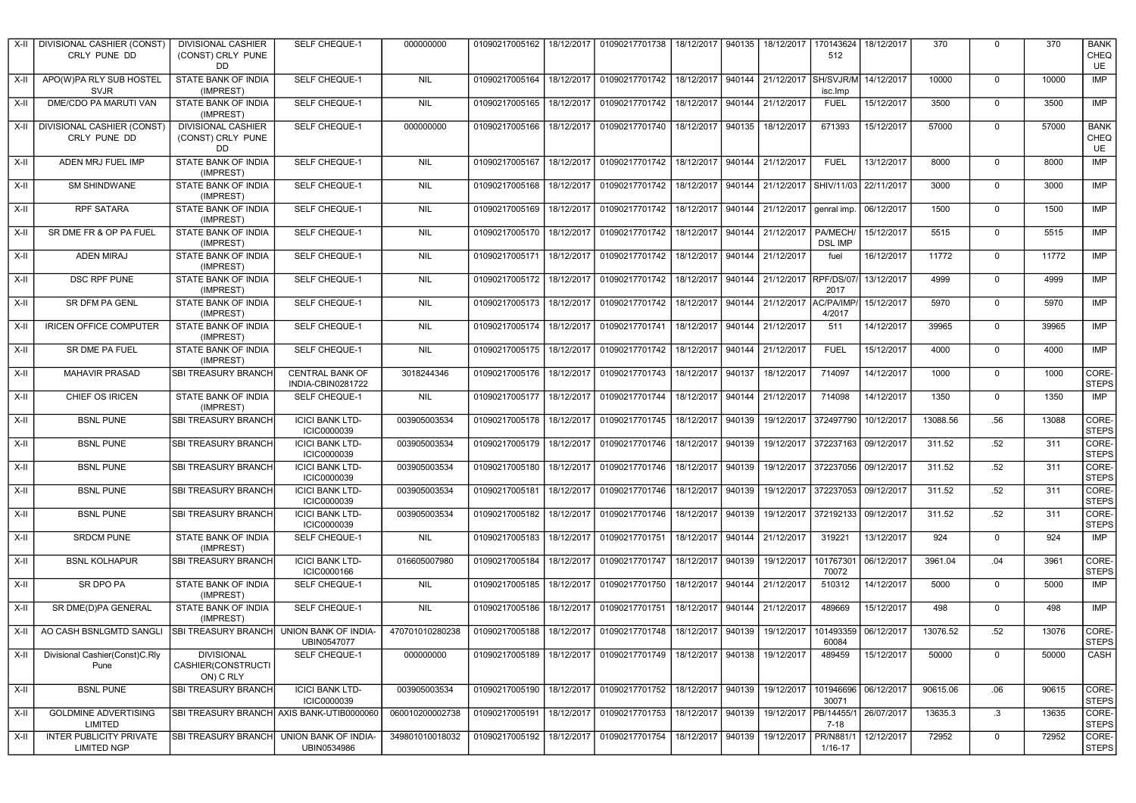| X-II   | DIVISIONAL CASHIER (CONST)<br>CRLY PUNE DD    | <b>DIVISIONAL CASHIER</b><br>(CONST) CRLY PUNE<br>DD | SELF CHEQUE-1                               | 000000000       | 01090217005162                               |            | 18/12/2017 01090217701738                   | 18/12/2017 | 940135 | 18/12/2017           | 170143624<br>512           | 18/12/2017 | 370      | $\Omega$    | 370   | <b>BANK</b><br>CHEQ<br>UE |
|--------|-----------------------------------------------|------------------------------------------------------|---------------------------------------------|-----------------|----------------------------------------------|------------|---------------------------------------------|------------|--------|----------------------|----------------------------|------------|----------|-------------|-------|---------------------------|
| X-II   | APO(W)PA RLY SUB HOSTEL<br><b>SVJR</b>        | STATE BANK OF INDIA<br>(IMPREST)                     | SELF CHEQUE-1                               | <b>NIL</b>      | 01090217005164                               |            | 18/12/2017 01090217701742                   | 18/12/2017 | 940144 | 21/12/2017           | SH/SVJR/M<br>isc.Imp       | 14/12/2017 | 10000    | $\mathbf 0$ | 10000 | IMP                       |
| X-II   | DME/CDO PA MARUTI VAN                         | STATE BANK OF INDIA<br>(IMPREST)                     | SELF CHEQUE-1                               | <b>NIL</b>      | 01090217005165                               | 18/12/2017 | 01090217701742                              | 18/12/2017 | 940144 | 21/12/2017           | <b>FUEL</b>                | 15/12/2017 | 3500     | $\mathbf 0$ | 3500  | IMP                       |
| X-II   | DIVISIONAL CASHIER (CONST)<br>CRLY PUNE DD    | <b>DIVISIONAL CASHIER</b><br>(CONST) CRLY PUNE<br>DD | SELF CHEQUE-1                               | 000000000       | 01090217005166                               |            | 18/12/2017 01090217701740                   | 18/12/2017 | 940135 | 18/12/2017           | 671393                     | 15/12/2017 | 57000    | $\mathbf 0$ | 57000 | <b>BANK</b><br>CHEQ<br>UE |
| $X-H$  | ADEN MRJ FUEL IMP                             | STATE BANK OF INDIA<br>(IMPREST)                     | SELF CHEQUE-1                               | <b>NIL</b>      | 01090217005167                               | 18/12/2017 | 01090217701742                              | 18/12/2017 | 940144 | 21/12/2017           | <b>FUEL</b>                | 13/12/2017 | 8000     | $\mathbf 0$ | 8000  | IMP                       |
| X-II   | <b>SM SHINDWANE</b>                           | STATE BANK OF INDIA<br>(IMPREST)                     | <b>SELF CHEQUE-1</b>                        | <b>NIL</b>      | 01090217005168                               | 18/12/2017 | 01090217701742                              | 18/12/2017 | 940144 | 21/12/2017           | SHIV/11/03                 | 22/11/2017 | 3000     | $\Omega$    | 3000  | <b>IMP</b>                |
| X-II   | <b>RPF SATARA</b>                             | STATE BANK OF INDIA<br>(IMPREST)                     | SELF CHEQUE-1                               | <b>NIL</b>      | 01090217005169                               | 18/12/2017 | 01090217701742                              | 18/12/2017 | 940144 | 21/12/2017           | genral imp.                | 06/12/2017 | 1500     | $\mathbf 0$ | 1500  | IMP                       |
| X-II   | SR DME FR & OP PA FUEL                        | STATE BANK OF INDIA<br>(IMPREST)                     | SELF CHEQUE-1                               | <b>NIL</b>      | 01090217005170                               | 18/12/2017 | 01090217701742                              | 18/12/2017 | 940144 | 21/12/2017           | PA/MECH/<br><b>DSL IMP</b> | 15/12/2017 | 5515     | $\mathbf 0$ | 5515  | IMP                       |
| X-II   | <b>ADEN MIRAJ</b>                             | STATE BANK OF INDIA<br>(IMPREST)                     | SELF CHEQUE-1                               | <b>NIL</b>      | 01090217005171                               |            | 18/12/2017 01090217701742                   | 18/12/2017 |        | 940144 21/12/2017    | fuel                       | 16/12/2017 | 11772    | $\mathbf 0$ | 11772 | <b>IMP</b>                |
| X-II   | DSC RPF PUNE                                  | STATE BANK OF INDIA<br>(IMPREST)                     | SELF CHEQUE-1                               | <b>NIL</b>      | 01090217005172 18/12/2017                    |            | 01090217701742                              | 18/12/2017 | 940144 | 21/12/2017 RPF/DS/07 | 2017                       | 13/12/2017 | 4999     | $\mathbf 0$ | 4999  | IMP                       |
| X-II   | SR DFM PA GENL                                | STATE BANK OF INDIA<br>(IMPREST)                     | SELF CHEQUE-1                               | <b>NIL</b>      | 01090217005173                               |            | 18/12/2017 01090217701742                   | 18/12/2017 | 940144 | 21/12/2017           | AC/PA/IMP<br>4/2017        | 15/12/2017 | 5970     | $\mathbf 0$ | 5970  | <b>IMP</b>                |
| $X-II$ | <b>IRICEN OFFICE COMPUTER</b>                 | STATE BANK OF INDIA<br>(IMPREST)                     | SELF CHEQUE-1                               | <b>NIL</b>      | 01090217005174                               | 18/12/2017 | 01090217701741                              | 18/12/2017 | 940144 | 21/12/2017           | 511                        | 14/12/2017 | 39965    | $\Omega$    | 39965 | IMP                       |
| X-II   | SR DME PA FUEL                                | STATE BANK OF INDIA<br>(IMPREST)                     | SELF CHEQUE-1                               | <b>NIL</b>      | 01090217005175                               | 18/12/2017 | 01090217701742                              | 18/12/2017 | 940144 | 21/12/2017           | <b>FUEL</b>                | 15/12/2017 | 4000     | $\mathbf 0$ | 4000  | IMP                       |
| X-II   | <b>MAHAVIR PRASAD</b>                         | SBI TREASURY BRANCH                                  | <b>CENTRAL BANK OF</b><br>INDIA-CBIN0281722 | 3018244346      | 01090217005176                               | 18/12/2017 | 01090217701743                              | 18/12/2017 | 940137 | 18/12/2017           | 714097                     | 14/12/2017 | 1000     | $\mathbf 0$ | 1000  | CORE-<br><b>STEPS</b>     |
| $X-II$ | CHIEF OS IRICEN                               | STATE BANK OF INDIA<br>(IMPREST)                     | SELF CHEQUE-1                               | <b>NIL</b>      | 01090217005177                               | 18/12/2017 | 01090217701744                              | 18/12/2017 | 940144 | 21/12/2017           | 714098                     | 14/12/2017 | 1350     | $\mathbf 0$ | 1350  | <b>IMP</b>                |
| X-II   | <b>BSNL PUNE</b>                              | SBI TREASURY BRANCH                                  | <b>ICICI BANK LTD-</b><br>ICIC0000039       | 003905003534    | 01090217005178                               | 18/12/2017 | 01090217701745                              | 18/12/2017 | 940139 | 19/12/2017           | 372497790                  | 10/12/2017 | 13088.56 | .56         | 13088 | CORE-<br><b>STEPS</b>     |
| X-II   | <b>BSNL PUNE</b>                              | SBI TREASURY BRANCH                                  | <b>ICICI BANK LTD-</b><br>ICIC0000039       | 003905003534    | 01090217005179                               | 18/12/2017 | 01090217701746                              | 18/12/2017 | 940139 | 19/12/2017           | 372237163                  | 09/12/2017 | 311.52   | .52         | 311   | CORE-<br><b>STEPS</b>     |
| X-II   | <b>BSNL PUNE</b>                              | SBI TREASURY BRANCH                                  | <b>ICICI BANK LTD-</b><br>ICIC0000039       | 003905003534    | 01090217005180                               | 18/12/2017 | 01090217701746                              | 18/12/2017 | 940139 | 19/12/2017           | 372237056                  | 09/12/2017 | 311.52   | .52         | 311   | CORE-<br><b>STEPS</b>     |
| X-II   | <b>BSNL PUNE</b>                              | SBI TREASURY BRANCH                                  | <b>ICICI BANK LTD-</b><br>ICIC0000039       | 003905003534    | 01090217005181                               | 18/12/2017 | 01090217701746                              | 18/12/2017 | 940139 |                      | 19/12/2017 372237053       | 09/12/2017 | 311.52   | .52         | 311   | CORE-<br><b>STEPS</b>     |
| X-II   | <b>BSNL PUNE</b>                              | SBI TREASURY BRANCH                                  | <b>ICICI BANK LTD-</b><br>ICIC0000039       | 003905003534    | 01090217005182                               | 18/12/2017 | 01090217701746                              | 18/12/2017 | 940139 |                      | 19/12/2017 372192133       | 09/12/2017 | 311.52   | .52         | 311   | CORE-<br><b>STEPS</b>     |
| X-II   | <b>SRDCM PUNE</b>                             | STATE BANK OF INDIA<br>(IMPREST)                     | SELF CHEQUE-1                               | <b>NIL</b>      | 01090217005183                               | 18/12/2017 | 01090217701751                              | 18/12/2017 | 940144 | 21/12/2017           | 319221                     | 13/12/2017 | 924      | $\Omega$    | 924   | IMP                       |
| X-II   | <b>BSNL KOLHAPUR</b>                          | <b>SBI TREASURY BRANCH</b>                           | <b>ICICI BANK LTD-</b><br>ICIC0000166       | 016605007980    | 01090217005184                               | 18/12/2017 | 01090217701747                              | 18/12/2017 | 940139 | 19/12/2017           | 101767301<br>70072         | 06/12/2017 | 3961.04  | .04         | 3961  | CORE-<br><b>STEPS</b>     |
| X-II   | SR DPO PA                                     | STATE BANK OF INDIA<br>(IMPREST)                     | SELF CHEQUE-1                               | <b>NIL</b>      | 01090217005185                               | 18/12/2017 | 01090217701750                              | 18/12/2017 | 940144 | 21/12/2017           | 510312                     | 14/12/2017 | 5000     | $\mathbf 0$ | 5000  | IMP                       |
| $X-II$ | SR DME(D)PA GENERAL                           | STATE BANK OF INDIA<br>(IMPREST)                     | SELF CHEQUE-1                               | <b>NIL</b>      | 01090217005186                               | 18/12/2017 | 01090217701751                              | 18/12/2017 | 940144 | 21/12/2017           | 489669                     | 15/12/2017 | 498      | $\mathbf 0$ | 498   | <b>IMP</b>                |
| $X-H$  | AO CASH BSNLGMTD SANGLI                       | <b>SBI TREASURY BRANCH</b>                           | UNION BANK OF INDIA-<br>UBIN0547077         | 470701010280238 | 01090217005188                               | 18/12/2017 | 01090217701748                              | 18/12/2017 | 940139 | 19/12/2017           | 101493359<br>60084         | 06/12/2017 | 13076.52 | .52         | 13076 | CORE-<br><b>STEPS</b>     |
| X-II   | Divisional Cashier(Const)C.Rly<br>Pune        | <b>DIVISIONAL</b><br>CASHIER(CONSTRUCTI<br>ON) C RLY | SELF CHEQUE-1                               | 000000000       | 01090217005189                               | 18/12/2017 | 01090217701749                              | 18/12/2017 | 940138 | 19/12/2017           | 489459                     | 15/12/2017 | 50000    | $\Omega$    | 50000 | CASH                      |
| X-II   | <b>BSNL PUNE</b>                              | SBI TREASURY BRANCH                                  | <b>ICICI BANK LTD-</b><br>ICIC0000039       | 003905003534    | 01090217005190                               |            | 18/12/2017 01090217701752 18/12/2017 940139 |            |        | 19/12/2017           | 101946696<br>30071         | 06/12/2017 | 90615.06 | .06         | 90615 | CORE-<br><b>STEPS</b>     |
| X-II   | <b>GOLDMINE ADVERTISING</b><br>LIMITED        | SBI TREASURY BRANCH AXIS BANK-UTIB0000060            |                                             | 060010200002738 | 01090217005191                               |            | 18/12/2017 01090217701753                   | 18/12/2017 | 940139 | 19/12/2017           | PB/14455/1<br>7-18         | 26/07/2017 | 13635.3  | .3          | 13635 | CORE-<br><b>STEPS</b>     |
| X-II   | INTER PUBLICITY PRIVATE<br><b>LIMITED NGP</b> | <b>SBI TREASURY BRANCH</b>                           | UNION BANK OF INDIA-<br>UBIN0534986         | 349801010018032 | 01090217005192   18/12/2017   01090217701754 |            |                                             | 18/12/2017 | 940139 | 19/12/2017           | PR/N881/<br>1/16-17        | 12/12/2017 | 72952    | 0           | 72952 | CORE-<br><b>STEPS</b>     |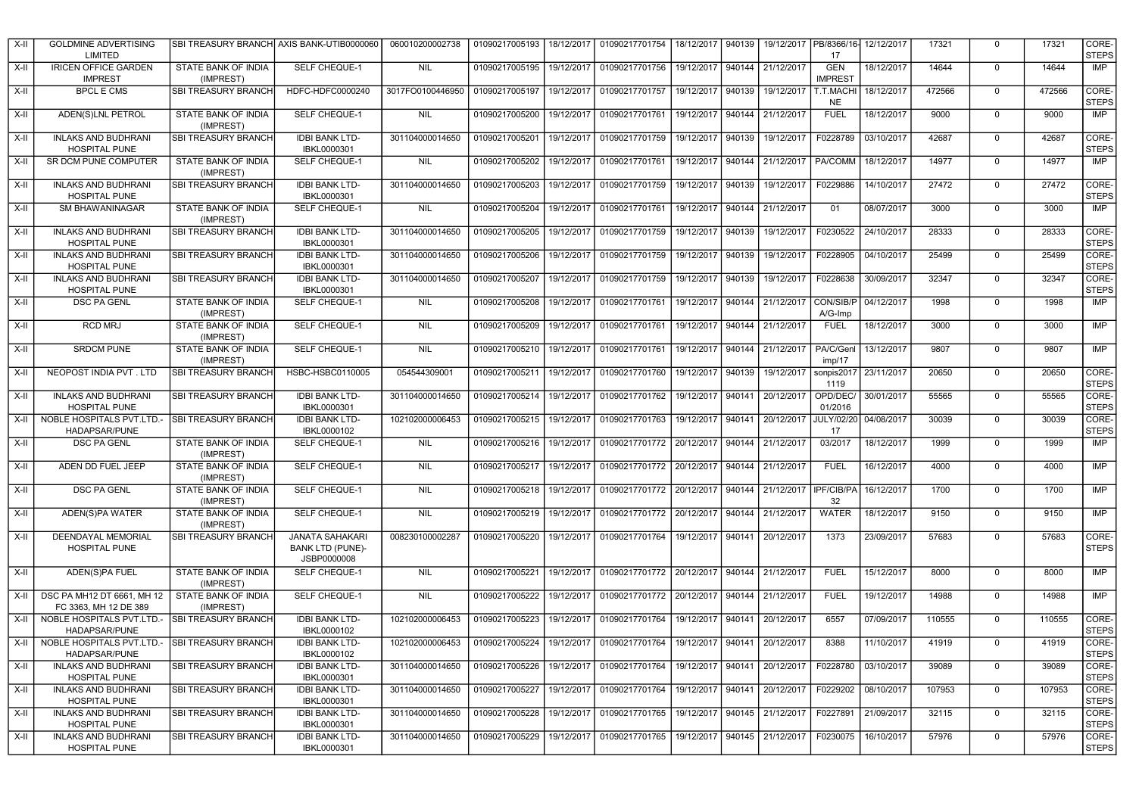| X-II   | <b>GOLDMINE ADVERTISING</b><br>LIMITED              |                                         | SBI TREASURY BRANCH AXIS BANK-UTIB0000060                        | 060010200002738  | 01090217005193 | 18/12/2017 | 01090217701754                                                        | 18/12/2017        | 940139 | 19/12/2017        | PB/8366/16-<br>17            | 12/12/2017 | 17321  | $\Omega$    | 17321  | CORE-<br><b>STEPS</b> |
|--------|-----------------------------------------------------|-----------------------------------------|------------------------------------------------------------------|------------------|----------------|------------|-----------------------------------------------------------------------|-------------------|--------|-------------------|------------------------------|------------|--------|-------------|--------|-----------------------|
| X-II   | <b>IRICEN OFFICE GARDEN</b><br><b>IMPREST</b>       | STATE BANK OF INDIA<br>(IMPREST)        | SELF CHEQUE-1                                                    | <b>NIL</b>       | 01090217005195 | 19/12/2017 | 01090217701756                                                        | 19/12/2017 940144 |        | 21/12/2017        | <b>GEN</b><br><b>IMPREST</b> | 18/12/2017 | 14644  | $\mathbf 0$ | 14644  | <b>IMP</b>            |
| X-II   | <b>BPCL E CMS</b>                                   | SBI TREASURY BRANCH                     | HDFC-HDFC0000240                                                 | 3017FO0100446950 | 01090217005197 | 19/12/2017 | 01090217701757                                                        | 19/12/2017        | 940139 | 19/12/2017        | T.T.MACHI<br><b>NE</b>       | 18/12/2017 | 472566 | $\mathbf 0$ | 472566 | CORE-<br><b>STEPS</b> |
| X-II   | ADEN(S)LNL PETROL                                   | STATE BANK OF INDIA<br>(IMPREST)        | SELF CHEQUE-1                                                    | <b>NIL</b>       | 01090217005200 | 19/12/2017 | 01090217701761                                                        | 19/12/2017        | 940144 | 21/12/2017        | <b>FUEL</b>                  | 18/12/2017 | 9000   | $\mathbf 0$ | 9000   | <b>IMP</b>            |
| X-II   | <b>INLAKS AND BUDHRANI</b><br>HOSPITAL PUNE         | <b>SBI TREASURY BRANCH</b>              | <b>IDBI BANK LTD-</b><br>IBKL0000301                             | 301104000014650  | 01090217005201 | 19/12/2017 | 01090217701759                                                        | 19/12/2017        | 940139 | 19/12/2017        | F0228789                     | 03/10/2017 | 42687  | $\mathbf 0$ | 42687  | CORE-<br><b>STEPS</b> |
| X-II   | <b>SR DCM PUNE COMPUTER</b>                         | STATE BANK OF INDIA<br>(IMPREST)        | SELF CHEQUE-1                                                    | <b>NIL</b>       | 01090217005202 | 19/12/2017 | 01090217701761                                                        | 19/12/2017        | 940144 | 21/12/2017        | <b>PA/COMM</b>               | 18/12/2017 | 14977  | $\mathbf 0$ | 14977  | <b>IMP</b>            |
| X-II   | <b>INLAKS AND BUDHRANI</b><br><b>HOSPITAL PUNE</b>  | <b>SBI TREASURY BRANCH</b>              | <b>IDBI BANK LTD-</b><br>IBKL0000301                             | 301104000014650  | 01090217005203 | 19/12/2017 | 01090217701759                                                        | 19/12/2017        | 940139 | 19/12/2017        | F0229886                     | 14/10/2017 | 27472  | $\mathbf 0$ | 27472  | CORE-<br><b>STEPS</b> |
| X-II   | <b>SM BHAWANINAGAR</b>                              | <b>STATE BANK OF INDIA</b><br>(IMPREST) | SELF CHEQUE-1                                                    | <b>NIL</b>       | 01090217005204 | 19/12/2017 | 01090217701761                                                        | 19/12/2017        | 940144 | 21/12/2017        | 01                           | 08/07/2017 | 3000   | $\mathbf 0$ | 3000   | IMP                   |
| X-II   | <b>INLAKS AND BUDHRANI</b><br><b>HOSPITAL PUNE</b>  | SBI TREASURY BRANCH                     | <b>IDBI BANK LTD-</b><br>IBKL0000301                             | 301104000014650  | 01090217005205 | 19/12/2017 | 01090217701759                                                        | 19/12/2017        | 940139 | 19/12/2017        | F0230522                     | 24/10/2017 | 28333  | $\mathbf 0$ | 28333  | CORE-<br><b>STEPS</b> |
| X-II   | <b>INLAKS AND BUDHRANI</b><br>HOSPITAL PUNE         | <b>SBI TREASURY BRANCH</b>              | <b>IDBI BANK LTD-</b><br>IBKL0000301                             | 301104000014650  | 01090217005206 | 19/12/2017 | 01090217701759                                                        | 19/12/2017        | 940139 | 19/12/2017        | F0228905                     | 04/10/2017 | 25499  | $\mathbf 0$ | 25499  | CORE-<br><b>STEPS</b> |
| X-II   | <b>INLAKS AND BUDHRANI</b><br><b>HOSPITAL PUNE</b>  | <b>SBI TREASURY BRANCH</b>              | <b>IDBI BANK LTD-</b><br>IBKL0000301                             | 301104000014650  | 01090217005207 | 19/12/2017 | 01090217701759                                                        | 19/12/2017        | 940139 | 19/12/2017        | F0228638                     | 30/09/2017 | 32347  | $\mathbf 0$ | 32347  | CORE-<br><b>STEPS</b> |
| X-II   | <b>DSC PA GENL</b>                                  | STATE BANK OF INDIA<br>(IMPREST)        | SELF CHEQUE-1                                                    | <b>NIL</b>       | 01090217005208 | 19/12/2017 | 01090217701761                                                        | 19/12/2017 940144 |        | 21/12/2017        | CON/SIB/P<br>$A/G$ -Imp      | 04/12/2017 | 1998   | $\mathbf 0$ | 1998   | <b>IMP</b>            |
| X-II   | <b>RCD MRJ</b>                                      | STATE BANK OF INDIA<br>(IMPREST)        | SELF CHEQUE-1                                                    | <b>NIL</b>       | 01090217005209 | 19/12/2017 | 01090217701761                                                        | 19/12/2017        | 940144 | 21/12/2017        | <b>FUEL</b>                  | 18/12/2017 | 3000   | $\mathbf 0$ | 3000   | <b>IMP</b>            |
| $X-II$ | <b>SRDCM PUNE</b>                                   | STATE BANK OF INDIA<br>(IMPREST)        | SELF CHEQUE-1                                                    | <b>NIL</b>       | 01090217005210 | 19/12/2017 | 01090217701761                                                        | 19/12/2017        | 940144 | 21/12/2017        | PA/C/Genl<br>imp/17          | 13/12/2017 | 9807   | $\mathbf 0$ | 9807   | IMP                   |
| X-II   | NEOPOST INDIA PVT. LTD                              | <b>SBI TREASURY BRANCH</b>              | HSBC-HSBC0110005                                                 | 054544309001     | 01090217005211 | 19/12/2017 | 01090217701760                                                        | 19/12/2017        | 940139 | 19/12/2017        | sonpis2017<br>1119           | 23/11/2017 | 20650  | $\mathbf 0$ | 20650  | CORE-<br><b>STEPS</b> |
| X-II   | <b>INLAKS AND BUDHRANI</b><br>HOSPITAL PUNE         | SBI TREASURY BRANCH                     | <b>IDBI BANK LTD-</b><br>IBKL0000301                             | 301104000014650  | 01090217005214 | 19/12/2017 | 01090217701762                                                        | 19/12/2017        | 940141 | 20/12/2017        | OPD/DEC/<br>01/2016          | 30/01/2017 | 55565  | $\mathbf 0$ | 55565  | CORE-<br><b>STEPS</b> |
| X-II   | NOBLE HOSPITALS PVT.LTD.-<br><b>HADAPSAR/PUNE</b>   | <b>SBI TREASURY BRANCH</b>              | <b>IDBI BANK LTD-</b><br>IBKL0000102                             | 102102000006453  | 01090217005215 | 19/12/2017 | 01090217701763                                                        | 19/12/2017        | 940141 | 20/12/2017        | JULY/02/20<br>17             | 04/08/2017 | 30039  | $\Omega$    | 30039  | CORE-<br><b>STEPS</b> |
| X-II   | <b>DSC PA GENL</b>                                  | STATE BANK OF INDIA<br>(IMPREST)        | SELF CHEQUE-1                                                    | <b>NIL</b>       | 01090217005216 | 19/12/2017 | 01090217701772 20/12/2017                                             |                   | 940144 | 21/12/2017        | 03/2017                      | 18/12/2017 | 1999   | $\Omega$    | 1999   | IMP                   |
| X-II   | ADEN DD FUEL JEEP                                   | STATE BANK OF INDIA<br>(IMPREST)        | SELF CHEQUE-1                                                    | <b>NIL</b>       | 01090217005217 | 19/12/2017 | 01090217701772 20/12/2017                                             |                   | 940144 | 21/12/2017        | <b>FUEL</b>                  | 16/12/2017 | 4000   | $\mathbf 0$ | 4000   | <b>IMP</b>            |
| X-II   | <b>DSC PA GENL</b>                                  | STATE BANK OF INDIA<br>(IMPREST)        | SELF CHEQUE-1                                                    | <b>NIL</b>       | 01090217005218 | 19/12/2017 | 01090217701772   20/12/2017   940144   21/12/2017                     |                   |        |                   | IPF/CIB/PA<br>32             | 16/12/2017 | 1700   | $\mathbf 0$ | 1700   | IMP                   |
| X-II   | ADEN(S)PA WATER                                     | STATE BANK OF INDIA<br>(IMPREST)        | SELF CHEQUE-1                                                    | <b>NIL</b>       | 01090217005219 | 19/12/2017 | 01090217701772 20/12/2017                                             |                   | 940144 | 21/12/2017        | <b>WATER</b>                 | 18/12/2017 | 9150   | $\mathbf 0$ | 9150   | <b>IMP</b>            |
| X-II   | DEENDAYAL MEMORIAL<br><b>HOSPITAL PUNE</b>          | <b>SBI TREASURY BRANCH</b>              | <b>JANATA SAHAKARI</b><br><b>BANK LTD (PUNE)-</b><br>JSBP0000008 | 008230100002287  | 01090217005220 |            | 19/12/2017 01090217701764                                             | 19/12/2017 940141 |        | 20/12/2017        | 1373                         | 23/09/2017 | 57683  | $\mathbf 0$ | 57683  | CORE-<br><b>STEPS</b> |
| X-II   | ADEN(S)PA FUEL                                      | STATE BANK OF INDIA<br>(IMPREST)        | SELF CHEQUE-1                                                    | <b>NIL</b>       | 01090217005221 | 19/12/2017 | 01090217701772 20/12/2017                                             |                   | 940144 | 21/12/2017        | <b>FUEL</b>                  | 15/12/2017 | 8000   | $\mathbf 0$ | 8000   | IMP                   |
| X-II   | DSC PA MH12 DT 6661, MH 12<br>FC 3363, MH 12 DE 389 | STATE BANK OF INDIA<br>(IMPREST)        | SELF CHEQUE-1                                                    | <b>NIL</b>       | 01090217005222 | 19/12/2017 | 01090217701772 20/12/2017                                             |                   |        | 940144 21/12/2017 | <b>FUEL</b>                  | 19/12/2017 | 14988  | $\mathbf 0$ | 14988  | IMP                   |
| X-II   | NOBLE HOSPITALS PVT.LTD.-<br><b>HADAPSAR/PUNE</b>   | <b>SBI TREASURY BRANCH</b>              | <b>IDBI BANK LTD-</b><br>IBKL0000102                             | 102102000006453  | 01090217005223 | 19/12/2017 | 01090217701764                                                        | 19/12/2017        | 940141 | 20/12/2017        | 6557                         | 07/09/2017 | 110555 | $\Omega$    | 110555 | CORE-<br><b>STEPS</b> |
|        | X-II NOBLE HOSPITALS PVT.LTD.-<br>HADAPSAR/PUNE     | <b>SBI TREASURY BRANCH</b>              | <b>IDBI BANK LTD-</b><br>IBKL0000102                             | 102102000006453  |                |            | 01090217005224 19/12/2017 01090217701764 19/12/2017 940141 20/12/2017 |                   |        |                   | 8388                         | 11/10/2017 | 41919  |             | 41919  | CORE-<br><b>STEPS</b> |
| X-II   | <b>INLAKS AND BUDHRANI</b><br><b>HOSPITAL PUNE</b>  | <b>SBI TREASURY BRANCH</b>              | <b>IDBI BANK LTD-</b><br>IBKL0000301                             | 301104000014650  | 01090217005226 |            | 19/12/2017 01090217701764 19/12/2017 940141 20/12/2017                |                   |        |                   | F0228780                     | 03/10/2017 | 39089  | $\mathbf 0$ | 39089  | CORE-<br><b>STEPS</b> |
| X-II   | <b>INLAKS AND BUDHRANI</b><br><b>HOSPITAL PUNE</b>  | <b>SBI TREASURY BRANCH</b>              | <b>IDBI BANK LTD-</b><br>IBKL0000301                             | 301104000014650  | 01090217005227 |            | 19/12/2017 01090217701764                                             | 19/12/2017 940141 |        | 20/12/2017        | F0229202                     | 08/10/2017 | 107953 | $\mathbf 0$ | 107953 | CORE-<br><b>STEPS</b> |
| $X-II$ | <b>INLAKS AND BUDHRANI</b><br><b>HOSPITAL PUNE</b>  | <b>SBI TREASURY BRANCH</b>              | <b>IDBI BANK LTD-</b><br>IBKL0000301                             | 301104000014650  | 01090217005228 | 19/12/2017 | 01090217701765 19/12/2017 940145                                      |                   |        | 21/12/2017        | F0227891                     | 21/09/2017 | 32115  | $\mathbf 0$ | 32115  | CORE-<br><b>STEPS</b> |
| X-II   | <b>INLAKS AND BUDHRANI</b><br>HOSPITAL PUNE         | <b>SBI TREASURY BRANCH</b>              | <b>IDBI BANK LTD-</b><br>IBKL0000301                             | 301104000014650  | 01090217005229 | 19/12/2017 | 01090217701765   19/12/2017   940145   21/12/2017                     |                   |        |                   | F0230075                     | 16/10/2017 | 57976  | 0           | 57976  | CORE-<br><b>STEPS</b> |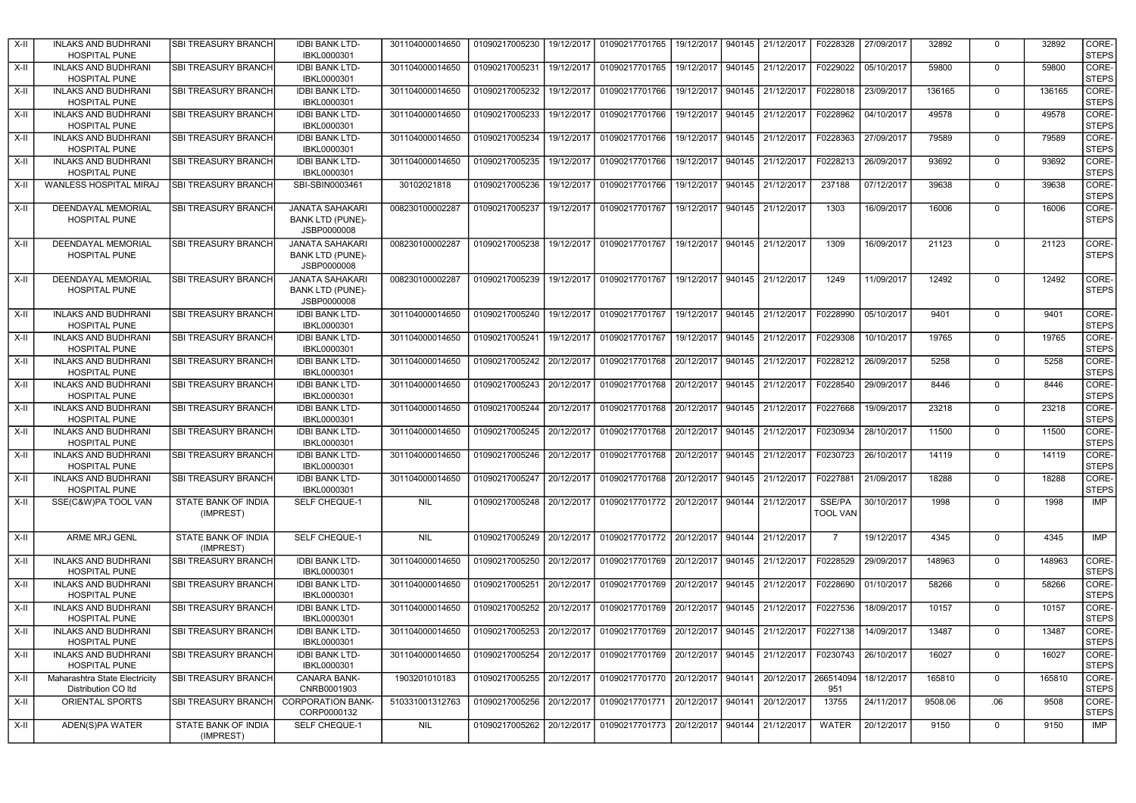| X-II   | <b>INLAKS AND BUDHRANI</b><br><b>HOSPITAL PUNE</b>   | <b>SBI TREASURY BRANCH</b>       | <b>IDBI BANK LTD-</b><br>IBKL0000301                             | 301104000014650 | 01090217005230            | 19/12/2017 | 01090217701765 | 19/12/2017 | 940145 | 21/12/2017        | F0228328                  | 27/09/2017 | 32892   | $\mathbf 0$ | 32892  | CORE-<br><b>STEPS</b> |
|--------|------------------------------------------------------|----------------------------------|------------------------------------------------------------------|-----------------|---------------------------|------------|----------------|------------|--------|-------------------|---------------------------|------------|---------|-------------|--------|-----------------------|
| $X-II$ | <b>INLAKS AND BUDHRANI</b><br><b>HOSPITAL PUNE</b>   | <b>SBI TREASURY BRANCH</b>       | <b>IDBI BANK LTD-</b><br>IBKL0000301                             | 301104000014650 | 01090217005231            | 19/12/2017 | 01090217701765 | 19/12/2017 | 940145 | 21/12/2017        | F0229022                  | 05/10/2017 | 59800   | $\Omega$    | 59800  | CORE-<br><b>STEPS</b> |
| X-II   | <b>INLAKS AND BUDHRANI</b><br><b>HOSPITAL PUNE</b>   | <b>SBI TREASURY BRANCH</b>       | <b>IDBI BANK LTD-</b><br>IBKL0000301                             | 301104000014650 | 01090217005232            | 19/12/2017 | 01090217701766 | 19/12/2017 | 940145 | 21/12/2017        | F0228018                  | 23/09/2017 | 136165  | $\mathbf 0$ | 136165 | CORE-<br><b>STEPS</b> |
| $X-II$ | <b>INLAKS AND BUDHRANI</b><br><b>HOSPITAL PUNE</b>   | SBI TREASURY BRANCH              | <b>IDBI BANK LTD-</b><br>IBKL0000301                             | 301104000014650 | 01090217005233            | 19/12/2017 | 01090217701766 | 19/12/2017 | 940145 | 21/12/2017        | F0228962                  | 04/10/2017 | 49578   | $\Omega$    | 49578  | CORE-<br><b>STEPS</b> |
| X-II   | <b>INLAKS AND BUDHRANI</b><br><b>HOSPITAL PUNE</b>   | <b>SBI TREASURY BRANCH</b>       | <b>IDBI BANK LTD-</b><br>IBKL0000301                             | 301104000014650 | 01090217005234            | 19/12/2017 | 01090217701766 | 19/12/2017 | 940145 | 21/12/2017        | F0228363                  | 27/09/2017 | 79589   | $\Omega$    | 79589  | CORE-<br><b>STEPS</b> |
| X-II   | <b>INLAKS AND BUDHRANI</b><br><b>HOSPITAL PUNE</b>   | <b>SBI TREASURY BRANCH</b>       | <b>IDBI BANK LTD-</b><br>IBKL0000301                             | 301104000014650 | 01090217005235            | 19/12/2017 | 01090217701766 | 19/12/2017 | 940145 | 21/12/2017        | F0228213                  | 26/09/2017 | 93692   | $\mathbf 0$ | 93692  | CORE-<br><b>STEPS</b> |
| $X-II$ | WANLESS HOSPITAL MIRAJ                               | <b>SBI TREASURY BRANCH</b>       | SBI-SBIN0003461                                                  | 30102021818     | 01090217005236            | 19/12/2017 | 01090217701766 | 19/12/2017 | 940145 | 21/12/2017        | 237188                    | 07/12/2017 | 39638   | $\Omega$    | 39638  | CORE-<br><b>STEPS</b> |
| X-II   | <b>DEENDAYAL MEMORIAL</b><br><b>HOSPITAL PUNE</b>    | SBI TREASURY BRANCH              | <b>JANATA SAHAKARI</b><br><b>BANK LTD (PUNE)-</b><br>JSBP0000008 | 008230100002287 | 01090217005237            | 19/12/2017 | 01090217701767 | 19/12/2017 | 940145 | 21/12/2017        | 1303                      | 16/09/2017 | 16006   | $\Omega$    | 16006  | CORE-<br><b>STEPS</b> |
| X-II   | DEENDAYAL MEMORIAL<br><b>HOSPITAL PUNE</b>           | <b>SBI TREASURY BRANCH</b>       | <b>JANATA SAHAKARI</b><br><b>BANK LTD (PUNE)-</b><br>JSBP0000008 | 008230100002287 | 01090217005238            | 19/12/2017 | 01090217701767 | 19/12/2017 | 940145 | 21/12/2017        | 1309                      | 16/09/2017 | 21123   | $\mathbf 0$ | 21123  | CORE-<br><b>STEPS</b> |
| X-II   | DEENDAYAL MEMORIAL<br><b>HOSPITAL PUNE</b>           | <b>SBI TREASURY BRANCH</b>       | <b>JANATA SAHAKARI</b><br><b>BANK LTD (PUNE)-</b><br>JSBP0000008 | 008230100002287 | 01090217005239 19/12/2017 |            | 01090217701767 | 19/12/2017 | 940145 | 21/12/2017        | 1249                      | 11/09/2017 | 12492   | $\mathbf 0$ | 12492  | CORE-<br><b>STEPS</b> |
| $X-II$ | <b>INLAKS AND BUDHRANI</b><br><b>HOSPITAL PUNE</b>   | <b>SBI TREASURY BRANCH</b>       | <b>IDBI BANK LTD-</b><br>IBKL0000301                             | 301104000014650 | 01090217005240            | 19/12/2017 | 01090217701767 | 19/12/2017 | 940145 | 21/12/2017        | F0228990                  | 05/10/2017 | 9401    | $\Omega$    | 9401   | CORE-<br><b>STEPS</b> |
| X-II   | <b>INLAKS AND BUDHRANI</b><br><b>HOSPITAL PUNE</b>   | <b>SBI TREASURY BRANCH</b>       | <b>IDBI BANK LTD-</b><br>IBKL0000301                             | 301104000014650 | 01090217005241            | 19/12/2017 | 01090217701767 | 19/12/2017 | 940145 | 21/12/2017        | F0229308                  | 10/10/2017 | 19765   | $\Omega$    | 19765  | CORE-<br><b>STEPS</b> |
| X-II   | <b>INLAKS AND BUDHRANI</b><br><b>HOSPITAL PUNE</b>   | <b>SBI TREASURY BRANCH</b>       | <b>IDBI BANK LTD-</b><br>IBKL0000301                             | 301104000014650 | 01090217005242 20/12/2017 |            | 01090217701768 | 20/12/2017 | 940145 | 21/12/2017        | F0228212                  | 26/09/2017 | 5258    | $\mathbf 0$ | 5258   | CORE-<br><b>STEPS</b> |
| X-II   | <b>INLAKS AND BUDHRANI</b><br>HOSPITAL PUNE          | <b>SBI TREASURY BRANCH</b>       | <b>IDBI BANK LTD-</b><br>IBKL0000301                             | 301104000014650 | 01090217005243 20/12/2017 |            | 01090217701768 | 20/12/2017 | 940145 | 21/12/2017        | F0228540                  | 29/09/2017 | 8446    | $\Omega$    | 8446   | CORE-<br><b>STEPS</b> |
| X-II   | <b>INLAKS AND BUDHRANI</b><br><b>HOSPITAL PUNE</b>   | <b>SBI TREASURY BRANCH</b>       | <b>IDBI BANK LTD-</b><br>IBKL0000301                             | 301104000014650 | 01090217005244 20/12/2017 |            | 01090217701768 | 20/12/2017 | 940145 | 21/12/2017        | F0227668                  | 19/09/2017 | 23218   | $\mathbf 0$ | 23218  | CORE-<br><b>STEPS</b> |
| $X-H$  | <b>INLAKS AND BUDHRANI</b><br><b>HOSPITAL PUNE</b>   | <b>SBI TREASURY BRANCH</b>       | <b>IDBI BANK LTD-</b><br>IBKL0000301                             | 301104000014650 | 01090217005245 20/12/2017 |            | 01090217701768 | 20/12/2017 | 940145 | 21/12/2017        | F0230934                  | 28/10/2017 | 11500   | $\mathbf 0$ | 11500  | CORE-<br><b>STEPS</b> |
| X-II   | <b>INLAKS AND BUDHRANI</b><br><b>HOSPITAL PUNE</b>   | <b>SBI TREASURY BRANCH</b>       | <b>IDBI BANK LTD-</b><br>IBKL0000301                             | 301104000014650 | 01090217005246 20/12/2017 |            | 01090217701768 | 20/12/2017 | 940145 | 21/12/2017        | F0230723                  | 26/10/2017 | 14119   | $\mathbf 0$ | 14119  | CORE-<br><b>STEPS</b> |
| X-II   | <b>INLAKS AND BUDHRANI</b><br><b>HOSPITAL PUNE</b>   | <b>SBI TREASURY BRANCH</b>       | <b>IDBI BANK LTD-</b><br>IBKL0000301                             | 301104000014650 | 01090217005247 20/12/2017 |            | 01090217701768 | 20/12/2017 | 940145 | 21/12/2017        | F0227881                  | 21/09/2017 | 18288   | $\Omega$    | 18288  | CORE-<br><b>STEPS</b> |
| X-II   | SSE(C&W)PA TOOL VAN                                  | STATE BANK OF INDIA<br>(IMPREST) | SELF CHEQUE-1                                                    | <b>NIL</b>      | 01090217005248            | 20/12/2017 | 01090217701772 | 20/12/2017 | 940144 | 21/12/2017        | SSE/PA<br><b>TOOL VAN</b> | 30/10/2017 | 1998    | $\mathbf 0$ | 1998   | <b>IMP</b>            |
| X-II   | ARME MRJ GENL                                        | STATE BANK OF INDIA<br>(IMPREST) | SELF CHEQUE-1                                                    | <b>NIL</b>      | 01090217005249            | 20/12/2017 | 01090217701772 | 20/12/2017 | 940144 | 21/12/2017        | $\overline{7}$            | 19/12/2017 | 4345    | $\mathbf 0$ | 4345   | IMP                   |
| $X-II$ | <b>INLAKS AND BUDHRANI</b><br><b>HOSPITAL PUNE</b>   | <b>SBI TREASURY BRANCH</b>       | <b>IDBI BANK LTD-</b><br>IBKL0000301                             | 301104000014650 | 01090217005250            | 20/12/2017 | 01090217701769 | 20/12/2017 | 940145 | 21/12/2017        | F0228529                  | 29/09/2017 | 148963  | $\mathbf 0$ | 148963 | CORE-<br><b>STEPS</b> |
| X-II   | <b>INLAKS AND BUDHRANI</b><br>HOSPITAL PUNE          | <b>SBI TREASURY BRANCH</b>       | <b>IDBI BANK LTD-</b><br>IBKL0000301                             | 301104000014650 | 01090217005251            | 20/12/2017 | 01090217701769 | 20/12/2017 | 940145 | 21/12/2017        | F0228690                  | 01/10/2017 | 58266   | $\mathbf 0$ | 58266  | CORE-<br><b>STEPS</b> |
| X-II   | <b>INLAKS AND BUDHRANI</b><br><b>HOSPITAL PUNE</b>   | <b>SBI TREASURY BRANCH</b>       | <b>IDBI BANK LTD-</b><br>IBKL0000301                             | 301104000014650 | 01090217005252            | 20/12/2017 | 01090217701769 | 20/12/2017 | 940145 | 21/12/2017        | F0227536                  | 18/09/2017 | 10157   | $\mathbf 0$ | 10157  | CORE-<br><b>STEPS</b> |
| $X-II$ | <b>INLAKS AND BUDHRANI</b><br>HOSPITAL PUNE          | <b>SBI TREASURY BRANCH</b>       | <b>IDBI BANK LTD-</b><br>IBKL0000301                             | 301104000014650 | 01090217005253            | 20/12/2017 | 01090217701769 | 20/12/2017 | 940145 | 21/12/2017        | F0227138                  | 14/09/2017 | 13487   | $\mathbf 0$ | 13487  | CORE-<br><b>STEPS</b> |
| X-II   | <b>INLAKS AND BUDHRANI</b><br><b>HOSPITAL PUNE</b>   | <b>SBI TREASURY BRANCH</b>       | <b>IDBI BANK LTD-</b><br>IBKL0000301                             | 301104000014650 | 01090217005254            | 20/12/2017 | 01090217701769 | 20/12/2017 | 940145 | 21/12/2017        | F0230743                  | 26/10/2017 | 16027   | $\mathbf 0$ | 16027  | CORE-<br><b>STEPS</b> |
| X-II   | Maharashtra State Electricity<br>Distribution CO Itd | SBI TREASURY BRANCH              | CANARA BANK-<br>CNRB0001903                                      | 1903201010183   | 01090217005255 20/12/2017 |            | 01090217701770 | 20/12/2017 | 940141 | 20/12/2017        | 266514094<br>951          | 18/12/2017 | 165810  | $\Omega$    | 165810 | CORE-<br><b>STEPS</b> |
| $X-II$ | <b>ORIENTAL SPORTS</b>                               | <b>SBI TREASURY BRANCHI</b>      | <b>CORPORATION BANK-</b><br>CORP0000132                          | 510331001312763 | 01090217005256 20/12/2017 |            | 01090217701771 | 20/12/2017 | 940141 | 20/12/2017        | 13755                     | 24/11/2017 | 9508.06 | .06         | 9508   | CORE-<br><b>STEPS</b> |
| X-II   | ADEN(S)PA WATER                                      | STATE BANK OF INDIA<br>(IMPREST) | SELF CHEQUE-1                                                    | <b>NIL</b>      | 01090217005262 20/12/2017 |            | 01090217701773 | 20/12/2017 |        | 940144 21/12/2017 | <b>WATER</b>              | 20/12/2017 | 9150    | $\mathbf 0$ | 9150   | <b>IMP</b>            |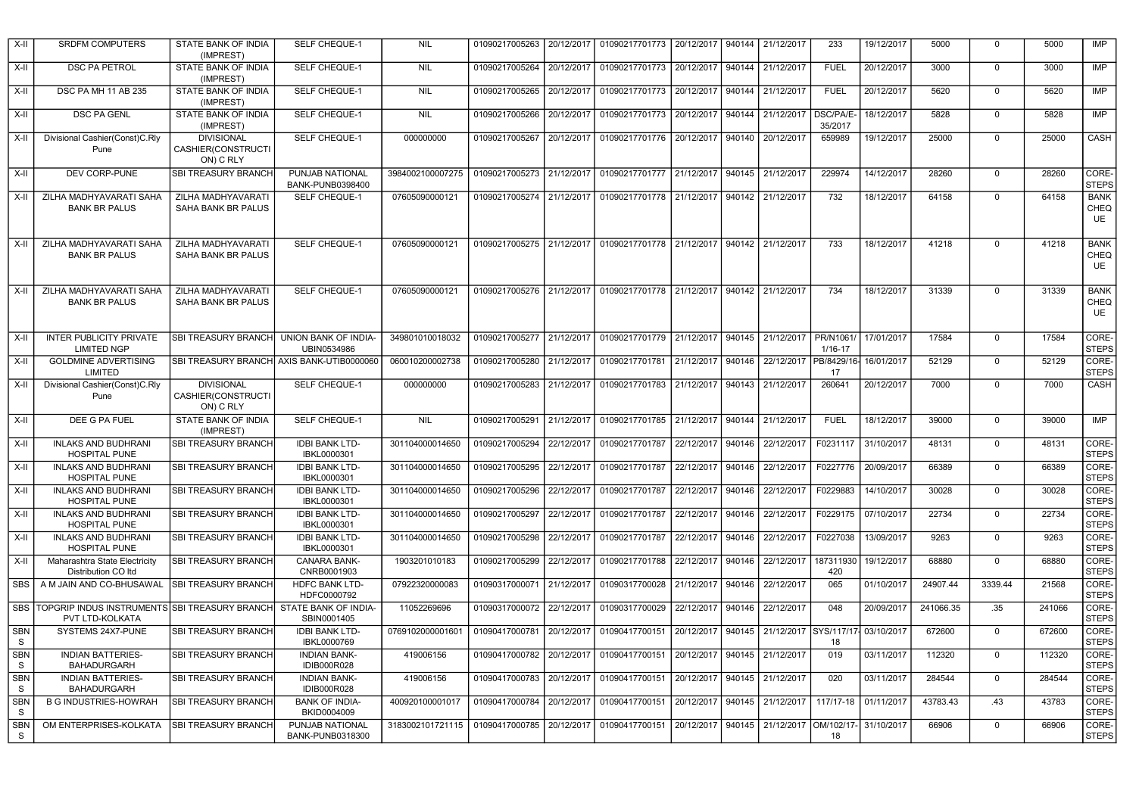| $X-H$                   | <b>SRDFM COMPUTERS</b>                                                                | STATE BANK OF INDIA<br>(IMPREST)                     | SELF CHEQUE-1                        | <b>NIL</b>       | 01090217005263            | 20/12/2017 | 01090217701773                                      | 20/12/2017 | 940144 | 21/12/2017        | 233                  | 19/12/2017 | 5000      | $\Omega$    | 5000   | IMP                                     |
|-------------------------|---------------------------------------------------------------------------------------|------------------------------------------------------|--------------------------------------|------------------|---------------------------|------------|-----------------------------------------------------|------------|--------|-------------------|----------------------|------------|-----------|-------------|--------|-----------------------------------------|
| $X-H$                   | <b>DSC PA PETROL</b>                                                                  | STATE BANK OF INDIA<br>(IMPREST)                     | SELF CHEQUE-1                        | <b>NIL</b>       | 01090217005264            | 20/12/2017 | 01090217701773                                      | 20/12/2017 | 940144 | 21/12/2017        | <b>FUEL</b>          | 20/12/2017 | 3000      | $\Omega$    | 3000   | <b>IMP</b>                              |
| X-II                    | DSC PA MH 11 AB 235                                                                   | STATE BANK OF INDIA<br>(IMPREST)                     | SELF CHEQUE-1                        | <b>NIL</b>       | 01090217005265 20/12/2017 |            | 01090217701773                                      | 20/12/2017 | 940144 | 21/12/2017        | <b>FUEL</b>          | 20/12/2017 | 5620      | $\Omega$    | 5620   | IMP                                     |
| $X-II$                  | <b>DSC PA GENL</b>                                                                    | STATE BANK OF INDIA<br>(IMPREST)                     | SELF CHEQUE-1                        | <b>NIL</b>       | 01090217005266 20/12/2017 |            | 01090217701773                                      | 20/12/2017 | 940144 | 21/12/2017        | DSC/PA/E-<br>35/2017 | 18/12/2017 | 5828      | $\Omega$    | 5828   | <b>IMP</b>                              |
| X-II                    | Divisional Cashier(Const)C.Rly<br>Pune                                                | <b>DIVISIONAL</b><br>CASHIER(CONSTRUCTI<br>ON) C RLY | SELF CHEQUE-1                        | 000000000        | 01090217005267 20/12/2017 |            | 01090217701776                                      | 20/12/2017 | 940140 | 20/12/2017        | 659989               | 19/12/2017 | 25000     | $\Omega$    | 25000  | CASH                                    |
| X-II                    | DEV CORP-PUNE                                                                         | SBI TREASURY BRANCH                                  | PUNJAB NATIONAL<br>BANK-PUNB0398400  | 3984002100007275 | 01090217005273 21/12/2017 |            | 01090217701777                                      | 21/12/2017 | 940145 | 21/12/2017        | 229974               | 14/12/2017 | 28260     | $\mathbf 0$ | 28260  | CORE-<br><b>STEPS</b>                   |
| X-II                    | ZILHA MADHYAVARATI SAHA<br><b>BANK BR PALUS</b>                                       | ZILHA MADHYAVARATI<br>SAHA BANK BR PALUS             | SELF CHEQUE-1                        | 07605090000121   | 01090217005274 21/12/2017 |            | 01090217701778                                      | 21/12/2017 | 940142 | 21/12/2017        | 732                  | 18/12/2017 | 64158     | $\Omega$    | 64158  | <b>BANK</b><br><b>CHEQ</b><br>UE        |
| X-II                    | ZILHA MADHYAVARATI SAHA<br><b>BANK BR PALUS</b>                                       | ZILHA MADHYAVARATI<br>SAHA BANK BR PALUS             | SELF CHEQUE-1                        | 07605090000121   |                           |            | 01090217005275 21/12/2017 01090217701778 21/12/2017 |            |        | 940142 21/12/2017 | 733                  | 18/12/2017 | 41218     | $\Omega$    | 41218  | <b>BANK</b><br><b>CHEQ</b><br>UE        |
| X-II                    | ZILHA MADHYAVARATI SAHA<br><b>BANK BR PALUS</b>                                       | ZILHA MADHYAVARATI<br>SAHA BANK BR PALUS             | SELF CHEQUE-1                        | 07605090000121   |                           |            | 01090217005276 21/12/2017 01090217701778            | 21/12/2017 | 940142 | 21/12/2017        | 734                  | 18/12/2017 | 31339     | $\Omega$    | 31339  | <b>BANK</b><br><b>CHEQ</b><br><b>UE</b> |
| $X-II$                  | <b>INTER PUBLICITY PRIVATE</b><br><b>LIMITED NGP</b>                                  | SBI TREASURY BRANCH UNION BANK OF INDIA-             | UBIN0534986                          | 349801010018032  |                           |            | 01090217005277 21/12/2017 01090217701779 21/12/2017 |            | 940145 | 21/12/2017        | PR/N1061/<br>1/16-17 | 17/01/2017 | 17584     | $\Omega$    | 17584  | CORE-<br><b>STEPS</b>                   |
| $X-H$                   | <b>GOLDMINE ADVERTISING</b><br>LIMITED                                                | SBI TREASURY BRANCH AXIS BANK-UTIB0000060            |                                      | 060010200002738  | 01090217005280 21/12/2017 |            | 01090217701781                                      | 21/12/2017 | 940146 | 22/12/2017        | PB/8429/16<br>17     | 16/01/2017 | 52129     | $\Omega$    | 52129  | CORE-<br><b>STEPS</b>                   |
| X-II                    | Divisional Cashier(Const)C.Rly<br>Pune                                                | <b>DIVISIONAL</b><br>CASHIER(CONSTRUCTI<br>ON) C RLY | SELF CHEQUE-1                        | 000000000        | 01090217005283 21/12/2017 |            | 01090217701783                                      | 21/12/2017 | 940143 | 21/12/2017        | 260641               | 20/12/2017 | 7000      | $\Omega$    | 7000   | CASH                                    |
| X-II                    | DEE G PA FUEL                                                                         | STATE BANK OF INDIA<br>(IMPREST)                     | SELF CHEQUE-1                        | <b>NIL</b>       | 01090217005291            | 21/12/2017 | 01090217701785                                      | 21/12/2017 | 940144 | 21/12/2017        | <b>FUEL</b>          | 18/12/2017 | 39000     | $\mathbf 0$ | 39000  | IMP                                     |
| $X-II$                  | <b>INLAKS AND BUDHRANI</b><br>HOSPITAL PUNE                                           | SBI TREASURY BRANCH                                  | <b>IDBI BANK LTD-</b><br>IBKL0000301 | 301104000014650  | 01090217005294            | 22/12/2017 | 01090217701787                                      | 22/12/2017 | 940146 | 22/12/2017        | F0231117             | 31/10/2017 | 48131     | 0           | 48131  | CORE-<br><b>STEPS</b>                   |
| X-II                    | <b>INLAKS AND BUDHRANI</b><br><b>HOSPITAL PUNE</b>                                    | <b>SBI TREASURY BRANCH</b>                           | <b>IDBI BANK LTD-</b><br>IBKL0000301 | 301104000014650  | 01090217005295            | 22/12/2017 | 01090217701787                                      | 22/12/2017 | 940146 | 22/12/2017        | F0227776             | 20/09/2017 | 66389     | $\mathbf 0$ | 66389  | CORE-<br><b>STEPS</b>                   |
| $X-H$                   | <b>INLAKS AND BUDHRANI</b><br><b>HOSPITAL PUNE</b>                                    | <b>SBI TREASURY BRANCH</b>                           | <b>IDBI BANK LTD-</b><br>IBKL0000301 | 301104000014650  | 01090217005296 22/12/2017 |            | 01090217701787                                      | 22/12/2017 | 940146 | 22/12/2017        | F0229883             | 14/10/2017 | 30028     | 0           | 30028  | CORE-<br><b>STEPS</b>                   |
| X-II                    | <b>INLAKS AND BUDHRANI</b><br><b>HOSPITAL PUNE</b>                                    | <b>SBI TREASURY BRANCH</b>                           | <b>IDBI BANK LTD-</b><br>IBKL0000301 | 301104000014650  | 01090217005297            | 22/12/2017 | 01090217701787                                      | 22/12/2017 | 940146 | 22/12/2017        | F0229175             | 07/10/2017 | 22734     | $\mathbf 0$ | 22734  | CORE-<br><b>STEPS</b>                   |
| X-II                    | <b>INLAKS AND BUDHRANI</b><br><b>HOSPITAL PUNE</b>                                    | <b>SBI TREASURY BRANCH</b>                           | <b>IDBI BANK LTD-</b><br>IBKL0000301 | 301104000014650  | 01090217005298 22/12/2017 |            | 01090217701787                                      | 22/12/2017 | 940146 | 22/12/2017        | F0227038             | 13/09/2017 | 9263      | $\mathbf 0$ | 9263   | CORE-<br><b>STEPS</b>                   |
| X-II                    | Maharashtra State Electricity<br>Distribution CO Itd                                  | <b>SBI TREASURY BRANCH</b>                           | CANARA BANK-<br>CNRB0001903          | 1903201010183    | 01090217005299            | 22/12/2017 | 01090217701788                                      | 22/12/2017 | 940146 | 22/12/2017        | 187311930<br>420     | 19/12/2017 | 68880     | $\Omega$    | 68880  | CORE-<br><b>STEPS</b>                   |
| <b>SBS</b>              | A M JAIN AND CO-BHUSAWAL                                                              | <b>SBI TREASURY BRANCH</b>                           | <b>HDFC BANK LTD-</b><br>HDFC0000792 | 07922320000083   | 01090317000071 21/12/2017 |            | 01090317700028                                      | 21/12/2017 | 940146 | 22/12/2017        | 065                  | 01/10/2017 | 24907.44  | 3339.44     | 21568  | CORE-<br><b>STEPS</b>                   |
| SBS                     | TOPGRIP INDUS INSTRUMENTS SBI TREASURY BRANCH STATE BANK OF INDIA-<br>PVT LTD-KOLKATA |                                                      | SBIN0001405                          | 11052269696      | 01090317000072 22/12/2017 |            | 01090317700029                                      | 22/12/2017 | 940146 | 22/12/2017        | 048                  | 20/09/2017 | 241066.35 | .35         | 241066 | CORE-<br><b>STEPS</b>                   |
| <b>SBN</b><br>${\tt S}$ | SYSTEMS 24X7-PUNE                                                                     | SBI TREASURY BRANCH                                  | <b>IDBI BANK LTD-</b><br>IBKL0000769 | 0769102000001601 | 01090417000781            | 20/12/2017 | 01090417700151                                      | 20/12/2017 | 940145 | 21/12/2017        | SYS/117/17<br>18     | 03/10/2017 | 672600    | $\mathbf 0$ | 672600 | CORE-<br><b>STEPS</b>                   |
| <b>SBN</b><br>S         | <b>INDIAN BATTERIES-</b><br><b>BAHADURGARH</b>                                        | <b>SBI TREASURY BRANCH</b>                           | <b>INDIAN BANK-</b><br>IDIB000R028   | 419006156        | 01090417000782            | 20/12/2017 | 01090417700151                                      | 20/12/2017 | 940145 | 21/12/2017        | 019                  | 03/11/2017 | 112320    | $\mathbf 0$ | 112320 | CORE-<br><b>STEPS</b>                   |
| <b>SBN</b><br>S.        | <b>INDIAN BATTERIES-</b><br><b>BAHADURGARH</b>                                        | SBI TREASURY BRANCH                                  | <b>INDIAN BANK-</b><br>IDIB000R028   | 419006156        | 01090417000783 20/12/2017 |            | 01090417700151                                      | 20/12/2017 | 940145 | 21/12/2017        | 020                  | 03/11/2017 | 284544    | $\mathbf 0$ | 284544 | CORE-<br><b>STEPS</b>                   |
| SBN<br>S.               | <b>B G INDUSTRIES-HOWRAH</b>                                                          | <b>SBI TREASURY BRANCH</b>                           | <b>BANK OF INDIA-</b><br>BKID0004009 | 400920100001017  | 01090417000784            | 20/12/2017 | 01090417700151                                      | 20/12/2017 | 940145 | 21/12/2017        | 117/17-18            | 01/11/2017 | 43783.43  | .43         | 43783  | CORE-<br><b>STEPS</b>                   |
| <b>SBN</b><br>- S       | OM ENTERPRISES-KOLKATA                                                                | <b>SBI TREASURY BRANCH</b>                           | PUNJAB NATIONAL<br>BANK-PUNB0318300  | 3183002101721115 | 01090417000785 20/12/2017 |            | 01090417700151                                      | 20/12/2017 | 940145 | 21/12/2017        | OM/102/17-<br>18     | 31/10/2017 | 66906     | $\Omega$    | 66906  | CORE-<br><b>STEPS</b>                   |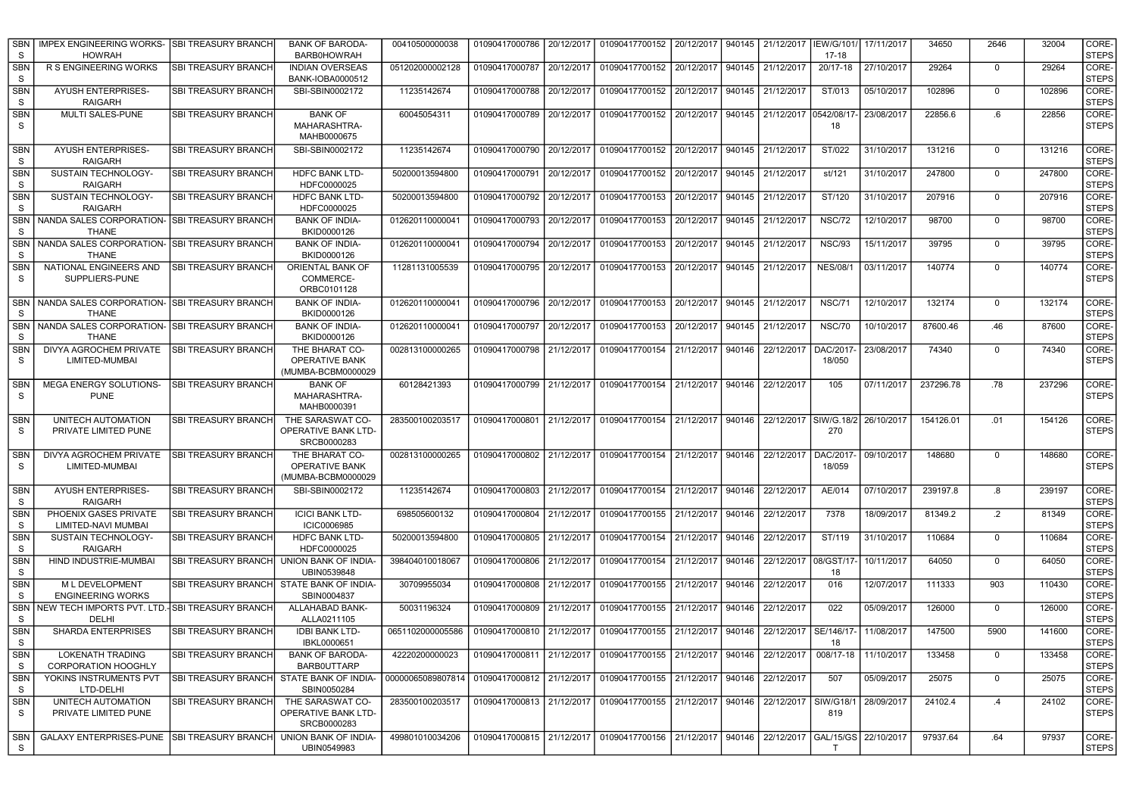| <b>SBN</b><br>S. | <b>IMPEX ENGINEERING WORKS-</b><br><b>HOWRAH</b>              | <b>ISBI TREASURY BRANCH</b> | <b>BANK OF BARODA-</b><br><b>BARB0HOWRAH</b>           | 00410500000038                                                                                      | 01090417000786            | 20/12/2017 | 01090417700152                                                                             | 20/12/2017 | 940145 | 21/12/2017                             | IEW/G/101/<br>17-18 | 17/11/2017 | 34650     | 2646        | 32004  | CORE-<br><b>STEPS</b> |
|------------------|---------------------------------------------------------------|-----------------------------|--------------------------------------------------------|-----------------------------------------------------------------------------------------------------|---------------------------|------------|--------------------------------------------------------------------------------------------|------------|--------|----------------------------------------|---------------------|------------|-----------|-------------|--------|-----------------------|
| <b>SBN</b><br>S. | R S ENGINEERING WORKS                                         | <b>SBI TREASURY BRANCH</b>  | <b>INDIAN OVERSEAS</b><br>BANK-IOBA0000512             | 051202000002128                                                                                     | 01090417000787 20/12/2017 |            | 01090417700152                                                                             | 20/12/2017 | 940145 | 21/12/2017                             | 20/17-18            | 27/10/2017 | 29264     | $\mathbf 0$ | 29264  | CORE-<br><b>STEPS</b> |
| <b>SBN</b><br>S. | <b>AYUSH ENTERPRISES-</b><br><b>RAIGARH</b>                   | <b>SBI TREASURY BRANCH</b>  | SBI-SBIN0002172                                        | 11235142674                                                                                         | 01090417000788            | 20/12/2017 | 01090417700152                                                                             | 20/12/2017 | 940145 | 21/12/2017                             | ST/013              | 05/10/2017 | 102896    | $\mathbf 0$ | 102896 | CORE-<br><b>STEPS</b> |
| <b>SBN</b><br>S  | MULTI SALES-PUNE                                              | <b>SBI TREASURY BRANCH</b>  | <b>BANK OF</b><br>MAHARASHTRA-<br>MAHB0000675          | 60045054311                                                                                         | 01090417000789            | 20/12/2017 | 01090417700152                                                                             | 20/12/2017 | 940145 | 21/12/2017                             | 0542/08/17<br>18    | 23/08/2017 | 22856.6   | .6          | 22856  | CORE-<br><b>STEPS</b> |
| <b>SBN</b><br>S  | <b>AYUSH ENTERPRISES-</b><br><b>RAIGARH</b>                   | <b>SBI TREASURY BRANCH</b>  | SBI-SBIN0002172                                        | 11235142674                                                                                         | 01090417000790 20/12/2017 |            | 01090417700152                                                                             | 20/12/2017 | 940145 | 21/12/2017                             | ST/022              | 31/10/2017 | 131216    | $\Omega$    | 131216 | CORE-<br><b>STEPS</b> |
| <b>SBN</b><br>S. | SUSTAIN TECHNOLOGY-<br><b>RAIGARH</b>                         | <b>SBI TREASURY BRANCH</b>  | <b>HDFC BANK LTD-</b><br>HDFC0000025                   | 50200013594800                                                                                      | 01090417000791            | 20/12/2017 | 01090417700152                                                                             | 20/12/2017 | 940145 | 21/12/2017                             | st/121              | 31/10/2017 | 247800    | $\mathbf 0$ | 247800 | CORE-<br><b>STEPS</b> |
| <b>SBN</b><br>S. | SUSTAIN TECHNOLOGY-<br><b>RAIGARH</b>                         | <b>SBI TREASURY BRANCH</b>  | <b>HDFC BANK LTD-</b><br>HDFC0000025                   | 50200013594800                                                                                      | 01090417000792 20/12/2017 |            | 01090417700153                                                                             | 20/12/2017 | 940145 | 21/12/2017                             | ST/120              | 31/10/2017 | 207916    | $\mathbf 0$ | 207916 | CORE-<br><b>STEPS</b> |
| SBN<br>S         | NANDA SALES CORPORATION- ISBI TREASURY BRANCH<br><b>THANE</b> |                             | <b>BANK OF INDIA-</b><br>BKID0000126                   | 012620110000041                                                                                     | 01090417000793            | 20/12/2017 | 01090417700153                                                                             | 20/12/2017 | 940145 | 21/12/2017                             | <b>NSC/72</b>       | 12/10/2017 | 98700     | $\mathbf 0$ | 98700  | CORE-<br><b>STEPS</b> |
| <b>SBN</b><br>S  | NANDA SALES CORPORATION- SBI TREASURY BRANCH<br><b>THANE</b>  |                             | <b>BANK OF INDIA-</b><br>BKID0000126                   | 012620110000041                                                                                     | 01090417000794 20/12/2017 |            | 01090417700153                                                                             | 20/12/2017 | 940145 | 21/12/2017                             | <b>NSC/93</b>       | 15/11/2017 | 39795     | $\mathbf 0$ | 39795  | CORE-<br><b>STEPS</b> |
| <b>SBN</b><br>S. | NATIONAL ENGINEERS AND<br>SUPPLIERS-PUNE                      | <b>ISBI TREASURY BRANCH</b> | ORIENTAL BANK OF<br>COMMERCE-<br>ORBC0101128           | 11281131005539                                                                                      | 01090417000795            | 20/12/2017 | 01090417700153                                                                             | 20/12/2017 | 940145 | 21/12/2017                             | NES/08/             | 03/11/2017 | 140774    | $\mathbf 0$ | 140774 | CORE-<br><b>STEPS</b> |
| <b>SBN</b><br>S. | NANDA SALES CORPORATION- ISBI TREASURY BRANCH<br><b>THANE</b> |                             | <b>BANK OF INDIA-</b><br>BKID0000126                   | 012620110000041                                                                                     | 01090417000796            | 20/12/2017 | 01090417700153                                                                             | 20/12/2017 | 940145 | 21/12/2017                             | <b>NSC/71</b>       | 12/10/2017 | 132174    | $\mathbf 0$ | 132174 | CORE-<br><b>STEPS</b> |
| <b>SBN</b><br>S. | NANDA SALES CORPORATION- SBI TREASURY BRANCH<br><b>THANE</b>  |                             | <b>BANK OF INDIA-</b><br>BKID0000126                   | 012620110000041                                                                                     | 01090417000797            | 20/12/2017 | 01090417700153                                                                             | 20/12/2017 | 940145 | 21/12/2017                             | <b>NSC/70</b>       | 10/10/2017 | 87600.46  | .46         | 87600  | CORE-<br><b>STEPS</b> |
| <b>SBN</b><br>S. | DIVYA AGROCHEM PRIVATE<br>LIMITED-MUMBAI                      | <b>ISBI TREASURY BRANCH</b> | THE BHARAT CO-<br>OPERATIVE BANK<br>(MUMBA-BCBM0000029 | 002813100000265                                                                                     | 01090417000798            | 21/12/2017 | 01090417700154                                                                             | 21/12/2017 | 940146 | 22/12/2017                             | DAC/2017<br>18/050  | 23/08/2017 | 74340     | $\mathbf 0$ | 74340  | CORE-<br><b>STEPS</b> |
| <b>SBN</b><br>S. | MEGA ENERGY SOLUTIONS-<br><b>PUNE</b>                         | <b>SBI TREASURY BRANCH</b>  | <b>BANK OF</b><br>MAHARASHTRA-<br>MAHB0000391          | 60128421393                                                                                         | 01090417000799 21/12/2017 |            | 01090417700154                                                                             | 21/12/2017 | 940146 | 22/12/2017                             | 105                 | 07/11/2017 | 237296.78 | .78         | 237296 | CORE-<br><b>STEPS</b> |
| <b>SBN</b><br>S. | UNITECH AUTOMATION<br>PRIVATE LIMITED PUNE                    | SBI TREASURY BRANCH         | THE SARASWAT CO-<br>OPERATIVE BANK LTD-<br>SRCB0000283 | 283500100203517                                                                                     | 01090417000801            | 21/12/2017 | 01090417700154                                                                             | 21/12/2017 | 940146 | 22/12/2017 SIW/G.18/2                  | 270                 | 26/10/2017 | 154126.01 | .01         | 154126 | CORE-<br><b>STEPS</b> |
| <b>SBN</b><br>S. | DIVYA AGROCHEM PRIVATE<br>LIMITED-MUMBAI                      | <b>SBI TREASURY BRANCH</b>  | THE BHARAT CO-<br>OPERATIVE BANK<br>(MUMBA-BCBM0000029 | 002813100000265                                                                                     |                           |            | 01090417000802 21/12/2017 01090417700154                                                   | 21/12/2017 | 940146 | 22/12/2017                             | DAC/2017-<br>18/059 | 09/10/2017 | 148680    | $\Omega$    | 148680 | CORE-<br><b>STEPS</b> |
| <b>SBN</b><br>S  | <b>AYUSH ENTERPRISES-</b><br><b>RAIGARH</b>                   | SBI TREASURY BRANCH         | SBI-SBIN0002172                                        | 11235142674                                                                                         | 01090417000803 21/12/2017 |            | 01090417700154                                                                             | 21/12/2017 | 940146 | 22/12/2017                             | AE/014              | 07/10/2017 | 239197.8  | .8          | 239197 | CORE-<br><b>STEPS</b> |
| <b>SBN</b><br>S  | PHOENIX GASES PRIVATE<br>LIMITED-NAVI MUMBAI                  | <b>SBI TREASURY BRANCH</b>  | <b>ICICI BANK LTD-</b><br>ICIC0006985                  | 698505600132                                                                                        | 01090417000804            | 21/12/2017 | 01090417700155                                                                             | 21/12/2017 | 940146 | 22/12/2017                             | 7378                | 18/09/2017 | 81349.2   | $\cdot$ .2  | 81349  | CORE-<br><b>STEPS</b> |
| <b>SBN</b><br>S  | SUSTAIN TECHNOLOGY-<br><b>RAIGARH</b>                         | <b>SBI TREASURY BRANCH</b>  | <b>HDFC BANK LTD-</b><br>HDFC0000025                   | 50200013594800                                                                                      | 01090417000805 21/12/2017 |            | 01090417700154                                                                             | 21/12/2017 | 940146 | 22/12/2017                             | ST/119              | 31/10/2017 | 110684    | $\mathbf 0$ | 110684 | CORE-<br><b>STEPS</b> |
| <b>SBN</b><br>S  | HIND INDUSTRIE-MUMBAI                                         | <b>SBI TREASURY BRANCH</b>  | UNION BANK OF INDIA-<br>UBIN0539848                    | 398404010018067                                                                                     | 01090417000806 21/12/2017 |            | 01090417700154                                                                             | 21/12/2017 | 940146 | 22/12/2017                             | 08/GST/17<br>18     | 10/11/2017 | 64050     | $\mathbf 0$ | 64050  | CORE-<br><b>STEPS</b> |
| <b>SBN</b><br>S. | M L DEVELOPMENT<br><b>ENGINEERING WORKS</b>                   | <b>SBI TREASURY BRANCH</b>  | STATE BANK OF INDIA-<br>SBIN0004837                    | 30709955034                                                                                         | 01090417000808            | 21/12/2017 | 01090417700155                                                                             | 21/12/2017 | 940146 | 22/12/2017                             | 016                 | 12/07/2017 | 111333    | 903         | 110430 | CORE-<br><b>STEPS</b> |
| <b>SBN</b><br>S  | NEW TECH IMPORTS PVT. LTD.-SBI TREASURY BRANCH<br>DELHI       |                             | ALLAHABAD BANK-<br>ALLA0211105                         | 50031196324                                                                                         | 01090417000809            | 21/12/2017 | 01090417700155                                                                             | 21/12/2017 | 940146 | 22/12/2017                             | 022                 | 05/09/2017 | 126000    | $\mathbf 0$ | 126000 | CORE-<br><b>STEPS</b> |
| <b>SBN</b><br>S  | <b>SHARDA ENTERPRISES</b>                                     | <b>ISBI TREASURY BRANCH</b> | <b>IDBI BANK LTD-</b><br>IBKL0000651                   | 0651102000005586                                                                                    | 01090417000810            | 21/12/2017 | 01090417700155                                                                             | 21/12/2017 | 940146 | 22/12/2017                             | SE/146/17<br>18     | 11/08/2017 | 147500    | 5900        | 141600 | CORE-<br><b>STEPS</b> |
| <b>SBN</b><br>S  | <b>LOKENATH TRADING</b><br><b>CORPORATION HOOGHLY</b>         | <b>SBI TREASURY BRANCH</b>  | <b>BANK OF BARODA-</b><br>BARB0UTTARP                  | 42220200000023                                                                                      | 01090417000811 21/12/2017 |            | 01090417700155                                                                             | 21/12/2017 | 940146 | 22/12/2017                             | 008/17-18           | 11/10/2017 | 133458    | $\mathbf 0$ | 133458 | CORE-<br><b>STEPS</b> |
| <b>SBN</b><br>S  | YOKINS INSTRUMENTS PVT<br>LTD-DELHI                           | <b>SBI TREASURY BRANCH</b>  | STATE BANK OF INDIA-<br>SBIN0050284                    | 00000065089807814   01090417000812   21/12/2017   01090417700155   21/12/2017   940146   22/12/2017 |                           |            |                                                                                            |            |        |                                        | 507                 | 05/09/2017 | 25075     | $\mathbf 0$ | 25075  | CORE-<br><b>STEPS</b> |
| <b>SBN</b><br>S  | UNITECH AUTOMATION<br>PRIVATE LIMITED PUNE                    | SBI TREASURY BRANCH         | THE SARASWAT CO-<br>OPERATIVE BANK LTD-<br>SRCB0000283 | 283500100203517                                                                                     |                           |            | 01090417000813 21/12/2017 01090417700155                                                   |            |        | 21/12/2017 940146 22/12/2017 SIW/G18/1 | 819                 | 28/09/2017 | 24102.4   | .4          | 24102  | CORE-<br><b>STEPS</b> |
| SBN<br>S         | GALAXY ENTERPRISES-PUNE SBI TREASURY BRANCH                   |                             | UNION BANK OF INDIA-<br>UBIN0549983                    | 499801010034206                                                                                     |                           |            | 01090417000815 21/12/2017 01090417700156 21/12/2017 940146 22/12/2017 GAL/15/GS 22/10/2017 |            |        |                                        |                     |            | 97937.64  | .64         | 97937  | CORE-<br><b>STEPS</b> |